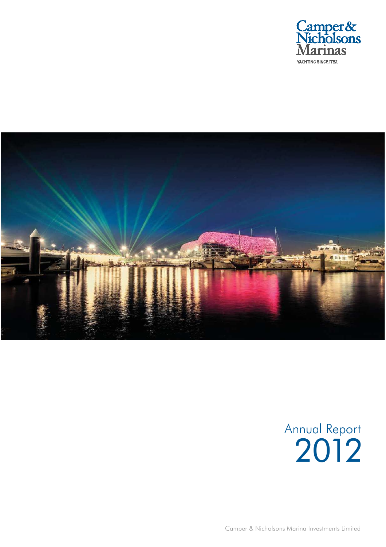



# Annual Report 2012

Camper & Nicholsons Marina Investments Limited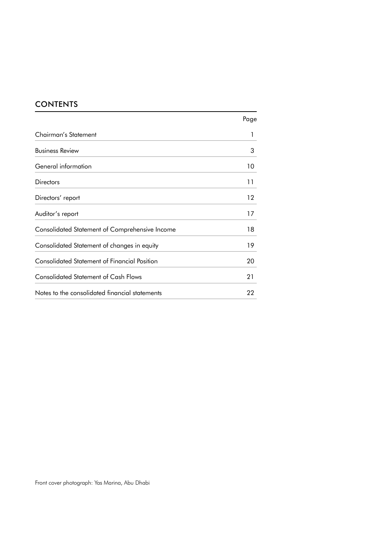# CONTENTS

|                                                     | Page |
|-----------------------------------------------------|------|
| Chairman's Statement                                |      |
| <b>Business Review</b>                              | 3    |
| General information                                 | 10   |
| <b>Directors</b>                                    | 11   |
| Directors' report                                   | 12   |
| Auditor's report                                    | 17   |
| Consolidated Statement of Comprehensive Income      | 18   |
| Consolidated Statement of changes in equity         | 19   |
| <b>Consolidated Statement of Financial Position</b> | 20   |
| <b>Consolidated Statement of Cash Flows</b>         | 21   |
| Notes to the consolidated financial statements      | 22   |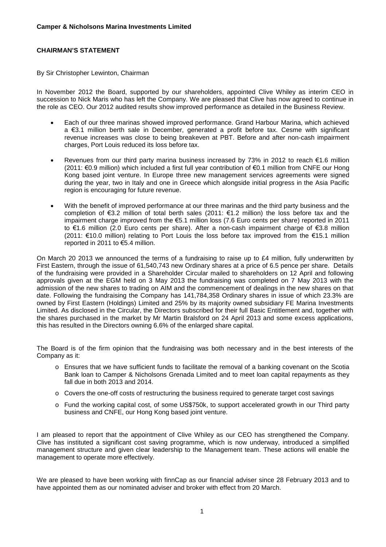# **CHAIRMAN'S STATEMENT**

#### By Sir Christopher Lewinton, Chairman

In November 2012 the Board, supported by our shareholders, appointed Clive Whiley as interim CEO in succession to Nick Maris who has left the Company. We are pleased that Clive has now agreed to continue in the role as CEO. Our 2012 audited results show improved performance as detailed in the Business Review.

- Each of our three marinas showed improved performance. Grand Harbour Marina, which achieved a €3.1 million berth sale in December, generated a profit before tax. Cesme with significant revenue increases was close to being breakeven at PBT. Before and after non-cash impairment charges, Port Louis reduced its loss before tax.
- Revenues from our third party marina business increased by 73% in 2012 to reach  $\epsilon$ 1.6 million (2011: €0.9 million) which included a first full year contribution of €0.1 million from CNFE our Hong Kong based joint venture. In Europe three new management services agreements were signed during the year, two in Italy and one in Greece which alongside initial progress in the Asia Pacific region is encouraging for future revenue.
- With the benefit of improved performance at our three marinas and the third party business and the completion of €3.2 million of total berth sales (2011: €1.2 million) the loss before tax and the impairment charge improved from the €5.1 million loss (7.6 Euro cents per share) reported in 2011 to €1.6 million (2.0 Euro cents per share). After a non-cash impairment charge of €3.8 million (2011: €10.0 million) relating to Port Louis the loss before tax improved from the €15.1 million reported in 2011 to €5.4 million.

On March 20 2013 we announced the terms of a fundraising to raise up to  $E4$  million, fully underwritten by First Eastern, through the issue of 61,540,743 new Ordinary shares at a price of 6.5 pence per share. Details of the fundraising were provided in a Shareholder Circular mailed to shareholders on 12 April and following approvals given at the EGM held on 3 May 2013 the fundraising was completed on 7 May 2013 with the admission of the new shares to trading on AIM and the commencement of dealings in the new shares on that date. Following the fundraising the Company has 141,784,358 Ordinary shares in issue of which 23.3% are owned by First Eastern (Holdings) Limited and 25% by its majority owned subsidiary FE Marina Investments Limited. As disclosed in the Circular, the Directors subscribed for their full Basic Entitlement and, together with the shares purchased in the market by Mr Martin Bralsford on 24 April 2013 and some excess applications, this has resulted in the Directors owning 6.6% of the enlarged share capital.

The Board is of the firm opinion that the fundraising was both necessary and in the best interests of the Company as it:

- o Ensures that we have sufficient funds to facilitate the removal of a banking covenant on the Scotia Bank loan to Camper & Nicholsons Grenada Limited and to meet loan capital repayments as they fall due in both 2013 and 2014.
- o Covers the one-off costs of restructuring the business required to generate target cost savings
- o Fund the working capital cost, of some US\$750k, to support accelerated growth in our Third party business and CNFE, our Hong Kong based joint venture.

I am pleased to report that the appointment of Clive Whiley as our CEO has strengthened the Company. Clive has instituted a significant cost saving programme, which is now underway, introduced a simplified management structure and given clear leadership to the Management team. These actions will enable the management to operate more effectively.

We are pleased to have been working with finnCap as our financial adviser since 28 February 2013 and to have appointed them as our nominated adviser and broker with effect from 20 March.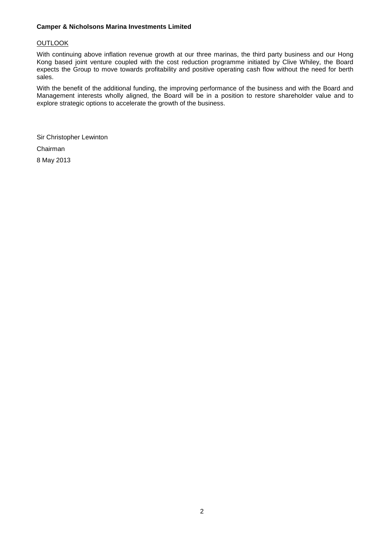# **OUTLOOK**

With continuing above inflation revenue growth at our three marinas, the third party business and our Hong Kong based joint venture coupled with the cost reduction programme initiated by Clive Whiley, the Board expects the Group to move towards profitability and positive operating cash flow without the need for berth sales.

With the benefit of the additional funding, the improving performance of the business and with the Board and Management interests wholly aligned, the Board will be in a position to restore shareholder value and to explore strategic options to accelerate the growth of the business.

Sir Christopher Lewinton Chairman 8 May 2013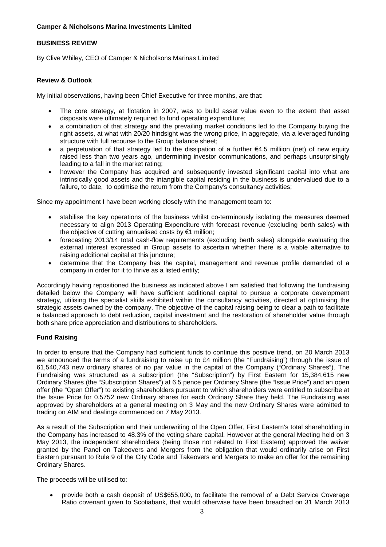# **BUSINESS REVIEW**

By Clive Whiley, CEO of Camper & Nicholsons Marinas Limited

# **Review & Outlook**

My initial observations, having been Chief Executive for three months, are that:

- The core strategy, at flotation in 2007, was to build asset value even to the extent that asset disposals were ultimately required to fund operating expenditure;
- a combination of that strategy and the prevailing market conditions led to the Company buying the right assets, at what with 20/20 hindsight was the wrong price, in aggregate, via a leveraged funding structure with full recourse to the Group balance sheet;
- a perpetuation of that strategy led to the dissipation of a further €4.5 milliion (net) of new equity raised less than two years ago, undermining investor communications, and perhaps unsurprisingly leading to a fall in the market rating;
- however the Company has acquired and subsequently invested significant capital into what are intrinsically good assets and the intangible capital residing in the business is undervalued due to a failure, to date, to optimise the return from the Company's consultancy activities;

Since my appointment I have been working closely with the management team to:

- stabilise the key operations of the business whilst co-terminously isolating the measures deemed necessary to align 2013 Operating Expenditure with forecast revenue (excluding berth sales) with the objective of cutting annualised costs by €1 million;
- forecasting 2013/14 total cash-flow requirements (excluding berth sales) alongside evaluating the external interest expressed in Group assets to ascertain whether there is a viable alternative to raising additional capital at this juncture;
- determine that the Company has the capital, management and revenue profile demanded of a company in order for it to thrive as a listed entity;

Accordingly having repositioned the business as indicated above I am satisfied that following the fundraising detailed below the Company will have sufficient additional capital to pursue a corporate development strategy, utilising the specialist skills exhibited within the consultancy activities, directed at optimising the strategic assets owned by the company. The objective of the capital raising being to clear a path to facilitate a balanced approach to debt reduction, capital investment and the restoration of shareholder value through both share price appreciation and distributions to shareholders.

# **Fund Raising**

In order to ensure that the Company had sufficient funds to continue this positive trend, on 20 March 2013 we announced the terms of a fundraising to raise up to £4 million (the "Fundraising") through the issue of 61,540,743 new ordinary shares of no par value in the capital of the Company ("Ordinary Shares"). The Fundraising was structured as a subscription (the "Subscription") by First Eastern for 15,384,615 new Ordinary Shares (the "Subscription Shares") at 6.5 pence per Ordinary Share (the "Issue Price") and an open offer (the "Open Offer") to existing shareholders pursuant to which shareholders were entitled to subscribe at the Issue Price for 0.5752 new Ordinary shares for each Ordinary Share they held. The Fundraising was approved by shareholders at a general meeting on 3 May and the new Ordinary Shares were admitted to trading on AIM and dealings commenced on 7 May 2013.

As a result of the Subscription and their underwriting of the Open Offer, First Eastern's total shareholding in the Company has increased to 48.3% of the voting share capital. However at the general Meeting held on 3 May 2013, the independent shareholders (being those not related to First Eastern) approved the waiver granted by the Panel on Takeovers and Mergers from the obligation that would ordinarily arise on First Eastern pursuant to Rule 9 of the City Code and Takeovers and Mergers to make an offer for the remaining Ordinary Shares.

The proceeds will be utilised to:

 provide both a cash deposit of US\$655,000, to facilitate the removal of a Debt Service Coverage Ratio covenant given to Scotiabank, that would otherwise have been breached on 31 March 2013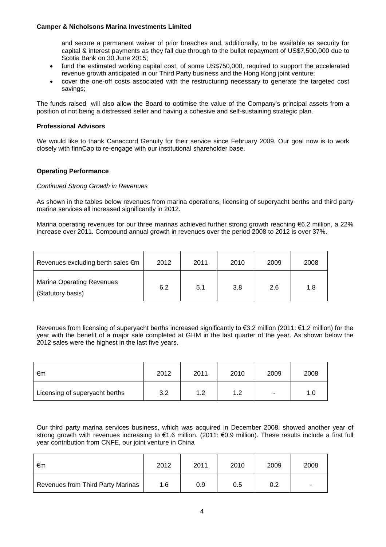and secure a permanent waiver of prior breaches and, additionally, to be available as security for capital & interest payments as they fall due through to the bullet repayment of US\$7,500,000 due to Scotia Bank on 30 June 2015;

- fund the estimated working capital cost, of some US\$750,000, required to support the accelerated revenue growth anticipated in our Third Party business and the Hong Kong joint venture;
- cover the one-off costs associated with the restructuring necessary to generate the targeted cost savings;

The funds raised will also allow the Board to optimise the value of the Company's principal assets from a position of not being a distressed seller and having a cohesive and self-sustaining strategic plan.

# **Professional Advisors**

We would like to thank Canaccord Genuity for their service since February 2009. Our goal now is to work closely with finnCap to re-engage with our institutional shareholder base.

# **Operating Performance**

#### *Continued Strong Growth in Revenues*

As shown in the tables below revenues from marina operations, licensing of superyacht berths and third party marina services all increased significantly in 2012.

Marina operating revenues for our three marinas achieved further strong growth reaching €6.2 million, a 22% increase over 2011. Compound annual growth in revenues over the period 2008 to 2012 is over 37%.

| Revenues excluding berth sales €m                     | 2012 | 2011 | 2010 | 2009 | 2008 |
|-------------------------------------------------------|------|------|------|------|------|
| <b>Marina Operating Revenues</b><br>(Statutory basis) | 6.2  | 5.1  | 3.8  | 2.6  | 1.8  |

Revenues from licensing of superyacht berths increased significantly to €3.2 million (2011: €1.2 million) for the year with the benefit of a major sale completed at GHM in the last quarter of the year. As shown below the 2012 sales were the highest in the last five years.

| €m                             | 2012 | 2011 | 2010 | 2009   | 2008 |
|--------------------------------|------|------|------|--------|------|
| Licensing of superyacht berths | 3.2  | 1.2  | 1.2  | $\sim$ | 1.0  |

Our third party marina services business, which was acquired in December 2008, showed another year of strong growth with revenues increasing to €1.6 million. (2011: €0.9 million). These results include a first full year contribution from CNFE, our joint venture in China

| €m                                | 2012 | 2011 | 2010 | 2009 | 2008           |
|-----------------------------------|------|------|------|------|----------------|
| Revenues from Third Party Marinas | 1.6  | 0.9  | 0.5  | 0.2  | $\blacksquare$ |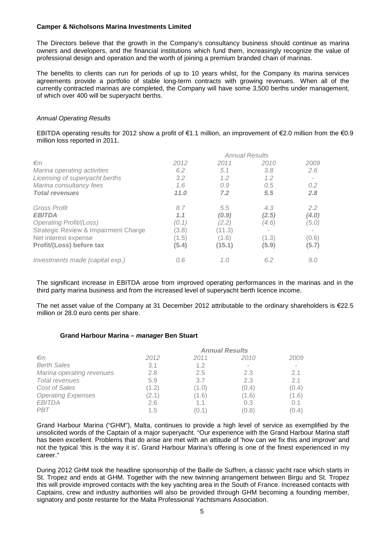The Directors believe that the growth in the Company's consultancy business should continue as marina owners and developers, and the financial institutions which fund them, increasingly recognize the value of professional design and operation and the worth of joining a premium branded chain of marinas.

The benefits to clients can run for periods of up to 10 years whilst, for the Company its marina services agreements provide a portfolio of stable long-term contracts with growing revenues. When all of the currently contracted marinas are completed, the Company will have some 3,500 berths under management, of which over 400 will be superyacht berths.

# *Annual Operating Results*

EBITDA operating results for 2012 show a profit of €1.1 million, an improvement of €2.0 million from the €0.9 million loss reported in 2011.

| $\epsilon$ m                         | 2012  | 2011   | 2010  | 2009  |
|--------------------------------------|-------|--------|-------|-------|
| Marina operating activities          | 6.2   | 5.1    | 3.8   | 2.6   |
| Licensing of superyacht berths       | 3.2   | 1.2    | 1.2   |       |
| Marina consultancy fees              | 1.6   | 0.9    | 0.5   | 0.2   |
| <b>Total revenues</b>                | 11.0  | 7.2    | 5.5   | 2.8   |
| <b>Gross Profit</b>                  | 8.7   | 5.5    | 4.3   | 2.2   |
| <b>EBITDA</b>                        | 1.1   | (0.9)  | (2.5) | (4.0) |
| <b>Operating Profit/(Loss)</b>       | (0.1) | (2.2)  | (4.6) | (5.0) |
| Strategic Review & Impairment Charge | (3.8) | (11.3) |       |       |
| Net interest expense                 | (1.5) | (1.6)  | (1.3) | (0.6) |
| Profit/(Loss) before tax             | (5.4) | (15.1) | (5.9) | (5.7) |
| Investments made (capital exp.)      | 0.6   | 1.0    | 6.2   | 9.0   |

The significant increase in EBITDA arose from improved operating performances in the marinas and in the third party marina business and from the increased level of superyacht berth licence income.

The net asset value of the Company at 31 December 2012 attributable to the ordinary shareholders is €22.5 million or 28.0 euro cents per share.

#### **Grand Harbour Marina –** *manager* **Ben Stuart**

| $\epsilon$ m              | 2012  | 2011  | 2010  | 2009                     |
|---------------------------|-------|-------|-------|--------------------------|
| <b>Berth Sales</b>        | 3.1   | 1.2   |       | $\overline{\phantom{a}}$ |
| Marina operating revenues | 2.8   | 2.5   | 2.3   | 2.1                      |
| <b>Total revenues</b>     | 5.9   | 3.7   | 2.3   | 2.1                      |
| <b>Cost of Sales</b>      | (1.2) | (1.0) | (0.4) | (0.4)                    |
| <b>Operating Expenses</b> | (2.1) | (1.6) | (1.6) | (1.6)                    |
| <b>EBITDA</b>             | 2.6   | 1.1   | 0.3   | 0.1                      |
| <b>PBT</b>                | 1.5   | (0.1  | (0.8) | (0.4)                    |

Grand Harbour Marina ("GHM"), Malta, continues to provide a high level of service as exemplified by the unsolicited words of the Captain of a major superyacht. "Our experience with the Grand Harbour Marina staff has been excellent. Problems that do arise are met with an attitude of 'how can we fix this and improve' and not the typical 'this is the way it is'. Grand Harbour Marina's offering is one of the finest experienced in my career."

During 2012 GHM took the headline sponsorship of the Baille de Suffren, a classic yacht race which starts in St. Tropez and ends at GHM. Together with the new twinning arrangement between Birgu and St. Tropez this will provide improved contacts with the key yachting area in the South of France. Increased contacts with Captains, crew and industry authorities will also be provided through GHM becoming a founding member, signatory and poste restante for the Malta Professional Yachtsmans Association.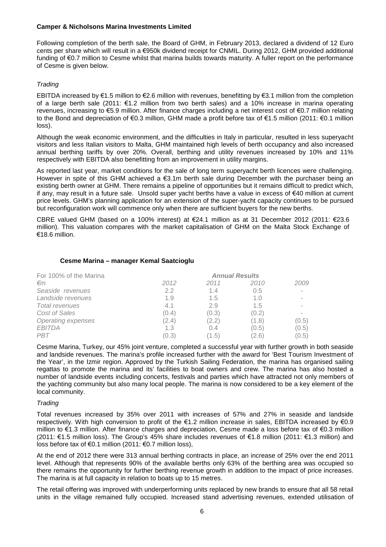Following completion of the berth sale, the Board of GHM, in February 2013, declared a dividend of 12 Euro cents per share which will result in a €950k dividend receipt for CNMIL. During 2012, GHM provided additional funding of €0.7 million to Cesme whilst that marina builds towards maturity. A fuller report on the performance of Cesme is given below.

# *Trading*

EBITDA increased by €1.5 million to €2.6 million with revenues, benefitting by €3.1 million from the completion of a large berth sale (2011: €1.2 million from two berth sales) and a 10% increase in marina operating revenues, increasing to €5.9 million. After finance charges including a net interest cost of €0.7 million relating to the Bond and depreciation of €0.3 million, GHM made a profit before tax of €1.5 million (2011: €0.1 million loss).

Although the weak economic environment, and the difficulties in Italy in particular, resulted in less superyacht visitors and less Italian visitors to Malta, GHM maintained high levels of berth occupancy and also increased annual berthing tariffs by over 20%. Overall, berthing and utility revenues increased by 10% and 11% respectively with EBITDA also benefitting from an improvement in utility margins.

As reported last year, market conditions for the sale of long term superyacht berth licences were challenging. However in spite of this GHM achieved a  $\epsilon$ 3.1m berth sale during December with the purchaser being an existing berth owner at GHM. There remains a pipeline of opportunities but it remains difficult to predict which, if any, may result in a future sale. Unsold super yacht berths have a value in excess of €40 million at current price levels. GHM's planning application for an extension of the super-yacht capacity continues to be pursued but reconfiguration work will commence only when there are sufficient buyers for the new berths.

CBRE valued GHM (based on a 100% interest) at €24.1 million as at 31 December 2012 (2011: €23.6 million). This valuation compares with the market capitalisation of GHM on the Malta Stock Exchange of €18.6 million.

# **Cesme Marina – manager Kemal Saatcioglu**

| For 100% of the Marina    | <b>Annual Results</b> |       |       |       |
|---------------------------|-----------------------|-------|-------|-------|
| $\epsilon$ m              | 2012                  | 2011  | 2010  | 2009  |
| Seaside revenues          | 2.2                   | 1.4   | 0.5   |       |
| Landside revenues         | 1.9                   | 1.5   | 1.0   |       |
| <b>Total revenues</b>     | 4.1                   | 2.9   | 1.5   |       |
| Cost of Sales             | (0.4)                 | (0.3) | (0.2) |       |
| <b>Operating expenses</b> | (2.4)                 | (2.2) | (1.8) | (0.5) |
| <b>EBITDA</b>             | 1.3                   | 0.4   | (0.5) | (0.5) |
| <b>PBT</b>                | (0.3)                 | 1.5   | (2.6) | (0.5) |

Cesme Marina, Turkey, our 45% joint venture, completed a successful year with further growth in both seaside and landside revenues. The marina's profile increased further with the award for 'Best Tourism Investment of the Year', in the Izmir region. Approved by the Turkish Sailing Federation, the marina has organised sailing regattas to promote the marina and its' facilities to boat owners and crew. The marina has also hosted a number of landside events including concerts, festivals and parties which have attracted not only members of the yachting community but also many local people. The marina is now considered to be a key element of the local community.

# *Trading*

Total revenues increased by 35% over 2011 with increases of 57% and 27% in seaside and landside respectively. With high conversion to profit of the €1.2 million increase in sales, EBITDA increased by €0.9 million to €1.3 million. After finance charges and depreciation, Cesme made a loss before tax of €0.3 million (2011: €1.5 million loss). The Group's 45% share includes revenues of €1.8 million (2011: €1.3 million) and loss before tax of €0.1 million (2011: €0.7 million loss),

At the end of 2012 there were 313 annual berthing contracts in place, an increase of 25% over the end 2011 level. Although that represents 90% of the available berths only 63% of the berthing area was occupied so there remains the opportunity for further berthing revenue growth in addition to the impact of price increases. The marina is at full capacity in relation to boats up to 15 metres.

The retail offering was improved with underperforming units replaced by new brands to ensure that all 58 retail units in the village remained fully occupied. Increased stand advertising revenues, extended utilisation of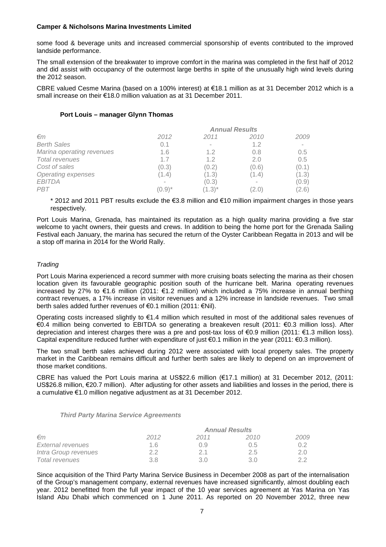some food & beverage units and increased commercial sponsorship of events contributed to the improved landside performance.

The small extension of the breakwater to improve comfort in the marina was completed in the first half of 2012 and did assist with occupancy of the outermost large berths in spite of the unusually high wind levels during the 2012 season.

CBRE valued Cesme Marina (based on a 100% interest) at €18.1 million as at 31 December 2012 which is a small increase on their €18.0 million valuation as at 31 December 2011.

#### **Port Louis – manager Glynn Thomas**

| $\epsilon$ m              | 2012      | 2011                     | 2010   | 2009  |
|---------------------------|-----------|--------------------------|--------|-------|
| <b>Berth Sales</b>        | 0.1       | $\overline{\phantom{a}}$ | 1.2    | ٠     |
| Marina operating revenues | 1.6       | 1.2                      | 0.8    | 0.5   |
| <b>Total revenues</b>     | 1.7       | 1.2                      | 2.0    | 0.5   |
| Cost of sales             | (0.3)     | (0.2)                    | (0.6)  | (0.1) |
| Operating expenses        | (1.4)     | (1.3)                    | (1.4)  | (1.3) |
| <b>EBITDA</b>             |           | (0.3)                    | $\sim$ | (0.9) |
| <b>PBT</b>                | $(0.9)^*$ | $(1.3)^{*}$              | (2.0)  | (2.6) |

\* 2012 and 2011 PBT results exclude the €3.8 million and €10 million impairment charges in those years respectively.

Port Louis Marina, Grenada, has maintained its reputation as a high quality marina providing a five star welcome to yacht owners, their guests and crews. In addition to being the home port for the Grenada Sailing Festival each January, the marina has secured the return of the Oyster Caribbean Regatta in 2013 and will be a stop off marina in 2014 for the World Rally.

# *Trading*

Port Louis Marina experienced a record summer with more cruising boats selecting the marina as their chosen location given its favourable geographic position south of the hurricane belt. Marina operating revenues increased by 27% to €1.6 million (2011: €1.2 million) which included a 75% increase in annual berthing contract revenues, a 17% increase in visitor revenues and a 12% increase in landside revenues. Two small berth sales added further revenues of €0.1 million (2011: €Nil).

Operating costs increased slightly to €1.4 million which resulted in most of the additional sales revenues of €0.4 million being converted to EBITDA so generating a breakeven result (2011: €0.3 million loss). After depreciation and interest charges there was a pre and post-tax loss of €0.9 million (2011: €1.3 million loss). Capital expenditure reduced further with expenditure of just  $\epsilon$ 0.1 million in the year (2011:  $\epsilon$ 0.3 million).

The two small berth sales achieved during 2012 were associated with local property sales. The property market in the Caribbean remains difficult and further berth sales are likely to depend on an improvement of those market conditions.

CBRE has valued the Port Louis marina at US\$22.6 million (€17.1 million) at 31 December 2012, (2011: US\$26.8 million, €20.7 million). After adjusting for other assets and liabilities and losses in the period, there is a cumulative €1.0 million negative adjustment as at 31 December 2012.

#### *Third Party Marina Service Agreements*

|                      |      |      | <b>Annual Results</b> |      |
|----------------------|------|------|-----------------------|------|
| $\epsilon$ m         | 2012 | 2011 | 2010                  | 2009 |
| External revenues    | 1.6  | 09   | 0.5                   | በ 2  |
| Intra Group revenues | 22   | 21   | 2.5                   | 2.0  |
| Total revenues       | 3.8  | 3 O  | 3 O                   | つつ   |

Since acquisition of the Third Party Marina Service Business in December 2008 as part of the internalisation of the Group's management company, external revenues have increased significantly, almost doubling each year. 2012 benefitted from the full year impact of the 10 year services agreement at Yas Marina on Yas Island Abu Dhabi which commenced on 1 June 2011. As reported on 20 November 2012, three new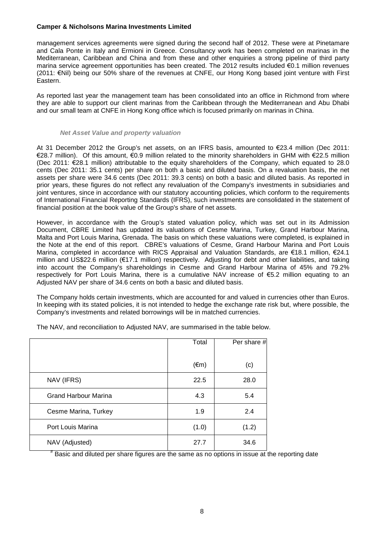management services agreements were signed during the second half of 2012. These were at Pinetamare and Cala Ponte in Italy and Ermioni in Greece. Consultancy work has been completed on marinas in the Mediterranean, Caribbean and China and from these and other enquiries a strong pipeline of third party marina service agreement opportunities has been created. The 2012 results included €0.1 million revenues (2011: €Nil) being our 50% share of the revenues at CNFE, our Hong Kong based joint venture with First Eastern.

As reported last year the management team has been consolidated into an office in Richmond from where they are able to support our client marinas from the Caribbean through the Mediterranean and Abu Dhabi and our small team at CNFE in Hong Kong office which is focused primarily on marinas in China.

#### *Net Asset Value and property valuation*

At 31 December 2012 the Group's net assets, on an IFRS basis, amounted to €23.4 million (Dec 2011: €28.7 million). Of this amount, €0.9 million related to the minority shareholders in GHM with €22.5 million (Dec 2011: €28.1 million) attributable to the equity shareholders of the Company, which equated to 28.0 cents (Dec 2011: 35.1 cents) per share on both a basic and diluted basis. On a revaluation basis, the net assets per share were 34.6 cents (Dec 2011: 39.3 cents) on both a basic and diluted basis. As reported in prior years, these figures do not reflect any revaluation of the Company's investments in subsidiaries and joint ventures, since in accordance with our statutory accounting policies, which conform to the requirements of International Financial Reporting Standards (IFRS), such investments are consolidated in the statement of financial position at the book value of the Group's share of net assets.

However, in accordance with the Group's stated valuation policy, which was set out in its Admission Document, CBRE Limited has updated its valuations of Cesme Marina, Turkey, Grand Harbour Marina, Malta and Port Louis Marina, Grenada. The basis on which these valuations were completed, is explained in the Note at the end of this report. CBRE's valuations of Cesme, Grand Harbour Marina and Port Louis Marina, completed in accordance with RICS Appraisal and Valuation Standards, are €18.1 million, €24.1 million and US\$22.6 million (€17.1 million) respectively. Adjusting for debt and other liabilities, and taking into account the Company's shareholdings in Cesme and Grand Harbour Marina of 45% and 79.2% respectively for Port Louis Marina, there is a cumulative NAV increase of €5.2 million equating to an Adjusted NAV per share of 34.6 cents on both a basic and diluted basis.

The Company holds certain investments, which are accounted for and valued in currencies other than Euros. In keeping with its stated policies, it is not intended to hedge the exchange rate risk but, where possible, the Company's investments and related borrowings will be in matched currencies.

|                             | Total          | Per share # |
|-----------------------------|----------------|-------------|
|                             | $(\epsilon m)$ | (c)         |
| NAV (IFRS)                  | 22.5           | 28.0        |
| <b>Grand Harbour Marina</b> | 4.3            | 5.4         |
| Cesme Marina, Turkey        | 1.9            | 2.4         |
| Port Louis Marina           | (1.0)          | (1.2)       |
| NAV (Adjusted)              | 27.7           | 34.6        |

The NAV, and reconciliation to Adjusted NAV, are summarised in the table below.

# Basic and diluted per share figures are the same as no options in issue at the reporting date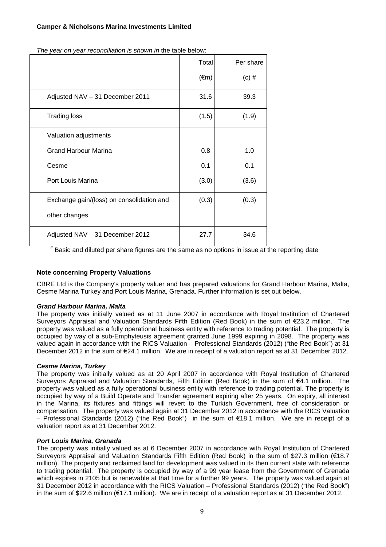| $(\epsilon m)$ | $(c)$ #                                                                        |
|----------------|--------------------------------------------------------------------------------|
| 31.6           | 39.3                                                                           |
| (1.5)          | (1.9)                                                                          |
|                |                                                                                |
| 0.8            | 1.0                                                                            |
| 0.1            | 0.1                                                                            |
| (3.0)          | (3.6)                                                                          |
| (0.3)          | (0.3)                                                                          |
|                |                                                                                |
| 27.7           | 34.6                                                                           |
|                | $#$ Donie and diluted nor chara figures are the same as no options in issue of |

*The year on year reconciliation is shown in* the table below:

Basic and diluted per share figures are the same as no options in issue at the reporting date

# **Note concerning Property Valuations**

CBRE Ltd is the Company's property valuer and has prepared valuations for Grand Harbour Marina, Malta, Cesme Marina Turkey and Port Louis Marina, Grenada. Further information is set out below.

# *Grand Harbour Marina, Malta*

The property was initially valued as at 11 June 2007 in accordance with Royal Institution of Chartered Surveyors Appraisal and Valuation Standards Fifth Edition (Red Book) in the sum of €23.2 million. The property was valued as a fully operational business entity with reference to trading potential. The property is occupied by way of a sub-Emphyteusis agreement granted June 1999 expiring in 2098. The property was valued again in accordance with the RICS Valuation – Professional Standards (2012) ("the Red Book") at 31 December 2012 in the sum of €24.1 million. We are in receipt of a valuation report as at 31 December 2012.

# *Cesme Marina, Turkey*

The property was initially valued as at 20 April 2007 in accordance with Royal Institution of Chartered Surveyors Appraisal and Valuation Standards, Fifth Edition (Red Book) in the sum of €4.1 million. The property was valued as a fully operational business entity with reference to trading potential. The property is occupied by way of a Build Operate and Transfer agreement expiring after 25 years. On expiry, all interest in the Marina, its fixtures and fittings will revert to the Turkish Government, free of consideration or compensation. The property was valued again at 31 December 2012 in accordance with the RICS Valuation – Professional Standards (2012) ("the Red Book") in the sum of €18.1 million. We are in receipt of a valuation report as at 31 December 2012.

# *Port Louis Marina, Grenada*

The property was initially valued as at 6 December 2007 in accordance with Royal Institution of Chartered Surveyors Appraisal and Valuation Standards Fifth Edition (Red Book) in the sum of \$27.3 million (€18.7 million). The property and reclaimed land for development was valued in its then current state with reference to trading potential. The property is occupied by way of a 99 year lease from the Government of Grenada which expires in 2105 but is renewable at that time for a further 99 years. The property was valued again at 31 December 2012 in accordance with the RICS Valuation – Professional Standards (2012) ("the Red Book") in the sum of \$22.6 million (€17.1 million). We are in receipt of a valuation report as at 31 December 2012.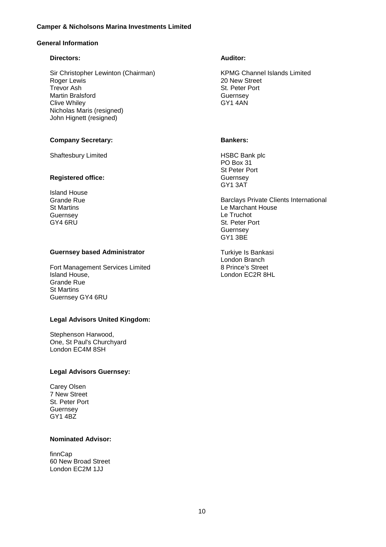# **General Information**

#### **Directors:**

Sir Christopher Lewinton (Chairman) Roger Lewis Trevor Ash Martin Bralsford Clive Whiley Nicholas Maris (resigned) John Hignett (resigned)

#### **Company Secretary:**

Shaftesbury Limited

#### **Registered office:**

Island House Grande Rue St Martins **Guernsey** GY4 6RU

# **Guernsey based Administrator**

Fort Management Services Limited Island House, Grande Rue St Martins Guernsey GY4 6RU

# **Legal Advisors United Kingdom:**

Stephenson Harwood, One, St Paul's Churchyard London EC4M 8SH

#### **Legal Advisors Guernsey:**

Carey Olsen 7 New Street St. Peter Port Guernsey GY1 4BZ

# **Nominated Advisor:**

finnCap 60 New Broad Street London EC2M 1JJ

#### **Auditor:**

KPMG Channel Islands Limited 20 New Street St. Peter Port **Guernsey** GY1 4AN

#### **Bankers:**

HSBC Bank plc PO Box 31 St Peter Port **Guernsey** GY1 3AT

Barclays Private Clients International Le Marchant House Le Truchot St. Peter Port Guernsey GY1 3BE

Turkiye Is Bankasi London Branch 8 Prince's Street London EC2R 8HL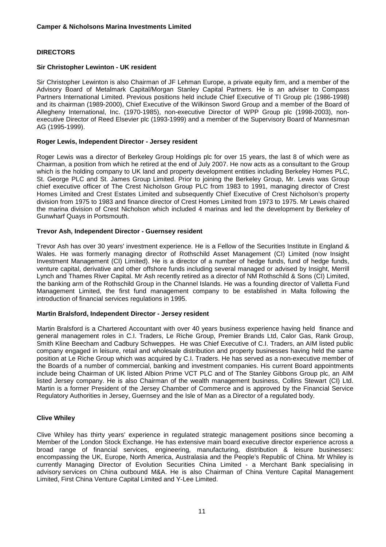# **DIRECTORS**

#### **Sir Christopher Lewinton - UK resident**

Sir Christopher Lewinton is also Chairman of JF Lehman Europe, a private equity firm, and a member of the Advisory Board of Metalmark Capital/Morgan Stanley Capital Partners. He is an adviser to Compass Partners International Limited. Previous positions held include Chief Executive of TI Group plc (1986-1998) and its chairman (1989-2000), Chief Executive of the Wilkinson Sword Group and a member of the Board of Allegheny International, Inc. (1970-1985), non-executive Director of WPP Group plc (1998-2003), nonexecutive Director of Reed Elsevier plc (1993-1999) and a member of the Supervisory Board of Mannesman AG (1995-1999).

# **Roger Lewis, Independent Director - Jersey resident**

Roger Lewis was a director of Berkeley Group Holdings plc for over 15 years, the last 8 of which were as Chairman, a position from which he retired at the end of July 2007. He now acts as a consultant to the Group which is the holding company to UK land and property development entities including Berkeley Homes PLC, St. George PLC and St. James Group Limited. Prior to joining the Berkeley Group, Mr. Lewis was Group chief executive officer of The Crest Nicholson Group PLC from 1983 to 1991, managing director of Crest Homes Limited and Crest Estates Limited and subsequently Chief Executive of Crest Nicholson's property division from 1975 to 1983 and finance director of Crest Homes Limited from 1973 to 1975. Mr Lewis chaired the marina division of Crest Nicholson which included 4 marinas and led the development by Berkeley of Gunwharf Quays in Portsmouth.

#### **Trevor Ash, Independent Director - Guernsey resident**

Trevor Ash has over 30 years' investment experience. He is a Fellow of the Securities Institute in England & Wales. He was formerly managing director of Rothschild Asset Management (CI) Limited (now Insight Investment Management (CI) Limited). He is a director of a number of hedge funds, fund of hedge funds, venture capital, derivative and other offshore funds including several managed or advised by Insight, Merrill Lynch and Thames River Capital. Mr Ash recently retired as a director of NM Rothschild & Sons (CI) Limited, the banking arm of the Rothschild Group in the Channel Islands. He was a founding director of Valletta Fund Management Limited, the first fund management company to be established in Malta following the introduction of financial services regulations in 1995.

#### **Martin Bralsford, Independent Director - Jersey resident**

Martin Bralsford is a Chartered Accountant with over 40 years business experience having held finance and general management roles in C.I. Traders, Le Riche Group, Premier Brands Ltd, Calor Gas, Rank Group, Smith Kline Beecham and Cadbury Schweppes. He was Chief Executive of C.I. Traders, an AIM listed public company engaged in leisure, retail and wholesale distribution and property businesses having held the same position at Le Riche Group which was acquired by C.I. Traders. He has served as a non-executive member of the Boards of a number of commercial, banking and investment companies. His current Board appointments include being Chairman of UK listed Albion Prime VCT PLC and of The Stanley Gibbons Group plc, an AIM listed Jersey company. He is also Chairman of the wealth management business, Collins Stewart (CI) Ltd. Martin is a former President of the Jersey Chamber of Commerce and is approved by the Financial Service Regulatory Authorities in Jersey, Guernsey and the Isle of Man as a Director of a regulated body.

#### **Clive Whiley**

Clive Whiley has thirty years' experience in regulated strategic management positions since becoming a Member of the London Stock Exchange. He has extensive main board executive director experience across a broad range of financial services, engineering, manufacturing, distribution & leisure businesses: encompassing the UK, Europe, North America, Australasia and the People's Republic of China. Mr Whiley is currently Managing Director of Evolution Securities China Limited - a Merchant Bank specialising in advisory services on China outbound M&A. He is also Chairman of China Venture Capital Management Limited, First China Venture Capital Limited and Y-Lee Limited.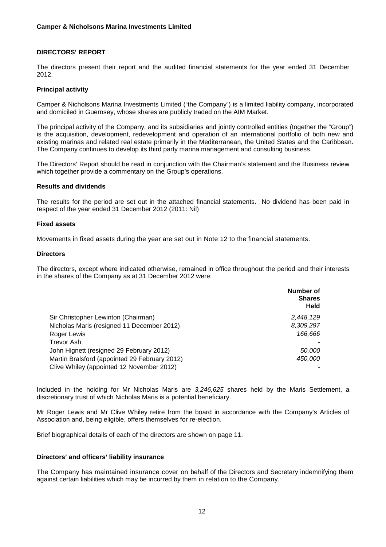# **DIRECTORS' REPORT**

The directors present their report and the audited financial statements for the year ended 31 December 2012.

#### **Principal activity**

Camper & Nicholsons Marina Investments Limited ("the Company") is a limited liability company, incorporated and domiciled in Guernsey, whose shares are publicly traded on the AIM Market.

The principal activity of the Company, and its subsidiaries and jointly controlled entities (together the "Group") is the acquisition, development, redevelopment and operation of an international portfolio of both new and existing marinas and related real estate primarily in the Mediterranean, the United States and the Caribbean. The Company continues to develop its third party marina management and consulting business.

The Directors' Report should be read in conjunction with the Chairman's statement and the Business review which together provide a commentary on the Group's operations.

#### **Results and dividends**

The results for the period are set out in the attached financial statements. No dividend has been paid in respect of the year ended 31 December 2012 (2011: Nil)

#### **Fixed assets**

Movements in fixed assets during the year are set out in Note 12 to the financial statements.

# **Directors**

The directors, except where indicated otherwise, remained in office throughout the period and their interests in the shares of the Company as at 31 December 2012 were:

|                                               | Number of<br><b>Shares</b><br><b>Held</b> |
|-----------------------------------------------|-------------------------------------------|
| Sir Christopher Lewinton (Chairman)           | 2,448,129                                 |
| Nicholas Maris (resigned 11 December 2012)    | 8,309,297                                 |
| Roger Lewis                                   | 166.666                                   |
| Trevor Ash                                    |                                           |
| John Hignett (resigned 29 February 2012)      | 50,000                                    |
| Martin Bralsford (appointed 29 February 2012) | 450,000                                   |
| Clive Whiley (appointed 12 November 2012)     |                                           |

Included in the holding for Mr Nicholas Maris are *3,246,625* shares held by the Maris Settlement, a discretionary trust of which Nicholas Maris is a potential beneficiary.

Mr Roger Lewis and Mr Clive Whiley retire from the board in accordance with the Company's Articles of Association and, being eligible, offers themselves for re-election.

Brief biographical details of each of the directors are shown on page 11.

#### **Directors' and officers' liability insurance**

The Company has maintained insurance cover on behalf of the Directors and Secretary indemnifying them against certain liabilities which may be incurred by them in relation to the Company.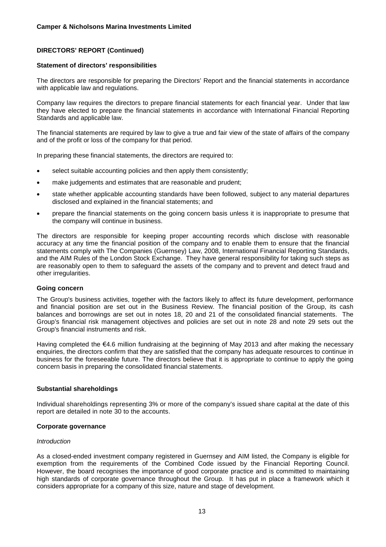#### **Statement of directors' responsibilities**

The directors are responsible for preparing the Directors' Report and the financial statements in accordance with applicable law and regulations.

Company law requires the directors to prepare financial statements for each financial year. Under that law they have elected to prepare the financial statements in accordance with International Financial Reporting Standards and applicable law.

The financial statements are required by law to give a true and fair view of the state of affairs of the company and of the profit or loss of the company for that period.

In preparing these financial statements, the directors are required to:

- select suitable accounting policies and then apply them consistently;
- make judgements and estimates that are reasonable and prudent:
- state whether applicable accounting standards have been followed, subject to any material departures disclosed and explained in the financial statements; and
- prepare the financial statements on the going concern basis unless it is inappropriate to presume that the company will continue in business.

The directors are responsible for keeping proper accounting records which disclose with reasonable accuracy at any time the financial position of the company and to enable them to ensure that the financial statements comply with The Companies (Guernsey) Law, 2008, International Financial Reporting Standards, and the AIM Rules of the London Stock Exchange. They have general responsibility for taking such steps as are reasonably open to them to safeguard the assets of the company and to prevent and detect fraud and other irregularities.

#### **Going concern**

The Group's business activities, together with the factors likely to affect its future development, performance and financial position are set out in the Business Review. The financial position of the Group, its cash balances and borrowings are set out in notes 18, 20 and 21 of the consolidated financial statements. The Group's financial risk management objectives and policies are set out in note 28 and note 29 sets out the Group's financial instruments and risk.

Having completed the €4.6 million fundraising at the beginning of May 2013 and after making the necessary enquiries, the directors confirm that they are satisfied that the company has adequate resources to continue in business for the foreseeable future. The directors believe that it is appropriate to continue to apply the going concern basis in preparing the consolidated financial statements.

# **Substantial shareholdings**

Individual shareholdings representing 3% or more of the company's issued share capital at the date of this report are detailed in note 30 to the accounts.

# **Corporate governance**

#### *Introduction*

As a closed-ended investment company registered in Guernsey and AIM listed, the Company is eligible for exemption from the requirements of the Combined Code issued by the Financial Reporting Council. However, the board recognises the importance of good corporate practice and is committed to maintaining high standards of corporate governance throughout the Group. It has put in place a framework which it considers appropriate for a company of this size, nature and stage of development.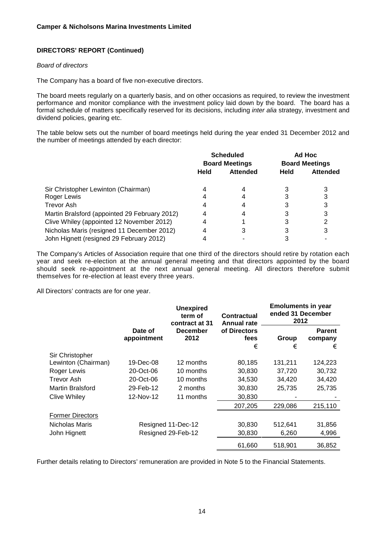#### *Board of directors*

The Company has a board of five non-executive directors.

The board meets regularly on a quarterly basis, and on other occasions as required, to review the investment performance and monitor compliance with the investment policy laid down by the board. The board has a formal schedule of matters specifically reserved for its decisions, including *inter alia* strategy, investment and dividend policies, gearing etc.

The table below sets out the number of board meetings held during the year ended 31 December 2012 and the number of meetings attended by each director:

|                                               | <b>Scheduled</b><br><b>Board Meetings</b> |                 | Ad Hoc<br><b>Board Meetings</b> |                 |
|-----------------------------------------------|-------------------------------------------|-----------------|---------------------------------|-----------------|
|                                               | <b>Held</b>                               | <b>Attended</b> | Held                            | <b>Attended</b> |
| Sir Christopher Lewinton (Chairman)           |                                           |                 |                                 |                 |
| Roger Lewis                                   |                                           |                 |                                 |                 |
| <b>Trevor Ash</b>                             |                                           |                 |                                 |                 |
| Martin Bralsford (appointed 29 February 2012) | 4                                         |                 |                                 |                 |
| Clive Whiley (appointed 12 November 2012)     |                                           |                 |                                 |                 |
| Nicholas Maris (resigned 11 December 2012)    |                                           |                 |                                 |                 |
| John Hignett (resigned 29 February 2012)      |                                           |                 |                                 |                 |

The Company's Articles of Association require that one third of the directors should retire by rotation each year and seek re-election at the annual general meeting and that directors appointed by the board should seek re-appointment at the next annual general meeting. All directors therefore submit themselves for re-election at least every three years.

All Directors' contracts are for one year.

|                         |                        | <b>Unexpired</b><br>term of<br>Contractual<br><b>Annual rate</b> | contract at 31            |            | <b>Emoluments in year</b><br>ended 31 December<br>2012 |  |
|-------------------------|------------------------|------------------------------------------------------------------|---------------------------|------------|--------------------------------------------------------|--|
|                         | Date of<br>appointment | <b>December</b><br>2012                                          | of Directors<br>fees<br>€ | Group<br>€ | <b>Parent</b><br>company<br>€                          |  |
| Sir Christopher         |                        |                                                                  |                           |            |                                                        |  |
| Lewinton (Chairman)     | 19-Dec-08              | 12 months                                                        | 80,185                    | 131,211    | 124,223                                                |  |
| Roger Lewis             | 20-Oct-06              | 10 months                                                        | 30,830                    | 37,720     | 30,732                                                 |  |
| <b>Trevor Ash</b>       | 20-Oct-06              | 10 months                                                        | 34,530                    | 34,420     | 34,420                                                 |  |
| <b>Martin Bralsford</b> | 29-Feb-12              | 2 months                                                         | 30,830                    | 25,735     | 25,735                                                 |  |
| Clive Whiley            | 12-Nov-12              | 11 months                                                        | 30,830                    |            |                                                        |  |
|                         |                        |                                                                  | 207,205                   | 229,086    | 215,110                                                |  |
| <b>Former Directors</b> |                        |                                                                  |                           |            |                                                        |  |
| Nicholas Maris          |                        | Resigned 11-Dec-12                                               | 30,830                    | 512,641    | 31,856                                                 |  |
| John Hignett            |                        | Resigned 29-Feb-12                                               | 30,830                    | 6,260      | 4,996                                                  |  |
|                         |                        |                                                                  | 61,660                    | 518,901    | 36,852                                                 |  |

Further details relating to Directors' remuneration are provided in Note 5 to the Financial Statements.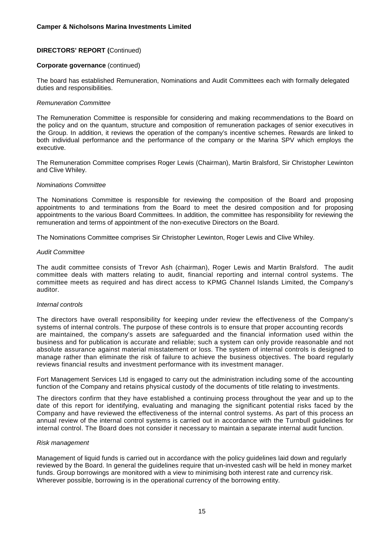#### **Corporate governance** (continued)

The board has established Remuneration, Nominations and Audit Committees each with formally delegated duties and responsibilities.

#### *Remuneration Committee*

The Remuneration Committee is responsible for considering and making recommendations to the Board on the policy and on the quantum, structure and composition of remuneration packages of senior executives in the Group. In addition, it reviews the operation of the company's incentive schemes. Rewards are linked to both individual performance and the performance of the company or the Marina SPV which employs the executive.

The Remuneration Committee comprises Roger Lewis (Chairman), Martin Bralsford, Sir Christopher Lewinton and Clive Whiley.

#### *Nominations Committee*

The Nominations Committee is responsible for reviewing the composition of the Board and proposing appointments to and terminations from the Board to meet the desired composition and for proposing appointments to the various Board Committees. In addition, the committee has responsibility for reviewing the remuneration and terms of appointment of the non-executive Directors on the Board.

The Nominations Committee comprises Sir Christopher Lewinton, Roger Lewis and Clive Whiley.

#### *Audit Committee*

The audit committee consists of Trevor Ash (chairman), Roger Lewis and Martin Bralsford. The audit committee deals with matters relating to audit, financial reporting and internal control systems. The committee meets as required and has direct access to KPMG Channel Islands Limited, the Company's auditor.

#### *Internal controls*

The directors have overall responsibility for keeping under review the effectiveness of the Company's systems of internal controls. The purpose of these controls is to ensure that proper accounting records are maintained, the company's assets are safeguarded and the financial information used within the business and for publication is accurate and reliable; such a system can only provide reasonable and not absolute assurance against material misstatement or loss. The system of internal controls is designed to manage rather than eliminate the risk of failure to achieve the business objectives. The board regularly reviews financial results and investment performance with its investment manager.

Fort Management Services Ltd is engaged to carry out the administration including some of the accounting function of the Company and retains physical custody of the documents of title relating to investments.

The directors confirm that they have established a continuing process throughout the year and up to the date of this report for identifying, evaluating and managing the significant potential risks faced by the Company and have reviewed the effectiveness of the internal control systems. As part of this process an annual review of the internal control systems is carried out in accordance with the Turnbull guidelines for internal control. The Board does not consider it necessary to maintain a separate internal audit function.

#### *Risk management*

Management of liquid funds is carried out in accordance with the policy guidelines laid down and regularly reviewed by the Board. In general the guidelines require that un-invested cash will be held in money market funds. Group borrowings are monitored with a view to minimising both interest rate and currency risk. Wherever possible, borrowing is in the operational currency of the borrowing entity.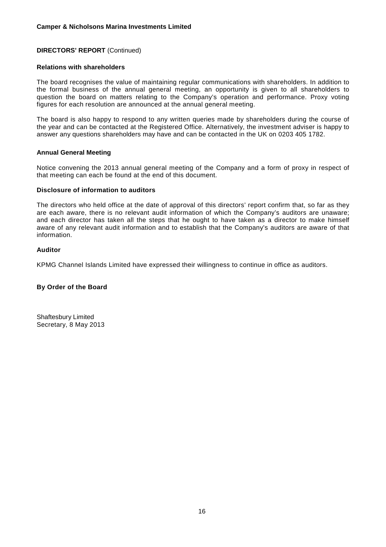#### **Relations with shareholders**

The board recognises the value of maintaining regular communications with shareholders. In addition to the formal business of the annual general meeting, an opportunity is given to all shareholders to question the board on matters relating to the Company's operation and performance. Proxy voting figures for each resolution are announced at the annual general meeting.

The board is also happy to respond to any written queries made by shareholders during the course of the year and can be contacted at the Registered Office. Alternatively, the investment adviser is happy to answer any questions shareholders may have and can be contacted in the UK on 0203 405 1782.

#### **Annual General Meeting**

Notice convening the 2013 annual general meeting of the Company and a form of proxy in respect of that meeting can each be found at the end of this document.

#### **Disclosure of information to auditors**

The directors who held office at the date of approval of this directors' report confirm that, so far as they are each aware, there is no relevant audit information of which the Company's auditors are unaware; and each director has taken all the steps that he ought to have taken as a director to make himself aware of any relevant audit information and to establish that the Company's auditors are aware of that information.

#### **Auditor**

KPMG Channel Islands Limited have expressed their willingness to continue in office as auditors.

#### **By Order of the Board**

Shaftesbury Limited Secretary, 8 May 2013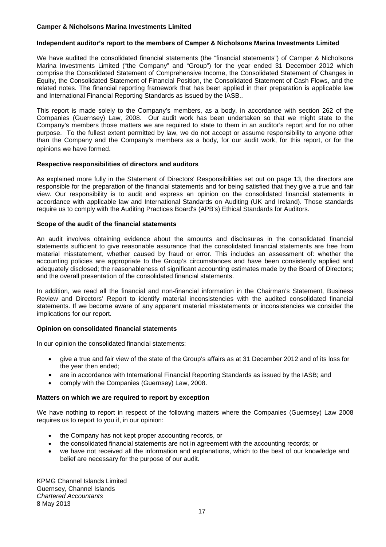#### **Independent auditor's report to the members of Camper & Nicholsons Marina Investments Limited**

We have audited the consolidated financial statements (the "financial statements") of Camper & Nicholsons Marina Investments Limited ("the Company" and "Group") for the year ended 31 December 2012 which comprise the Consolidated Statement of Comprehensive Income, the Consolidated Statement of Changes in Equity, the Consolidated Statement of Financial Position, the Consolidated Statement of Cash Flows, and the related notes. The financial reporting framework that has been applied in their preparation is applicable law and International Financial Reporting Standards as issued by the IASB..

This report is made solely to the Company's members, as a body, in accordance with section 262 of the Companies (Guernsey) Law, 2008. Our audit work has been undertaken so that we might state to the Company's members those matters we are required to state to them in an auditor's report and for no other purpose. To the fullest extent permitted by law, we do not accept or assume responsibility to anyone other than the Company and the Company's members as a body, for our audit work, for this report, or for the opinions we have formed.

#### **Respective responsibilities of directors and auditors**

As explained more fully in the Statement of Directors' Responsibilities set out on page 13, the directors are responsible for the preparation of the financial statements and for being satisfied that they give a true and fair view. Our responsibility is to audit and express an opinion on the consolidated financial statements in accordance with applicable law and International Standards on Auditing (UK and Ireland). Those standards require us to comply with the Auditing Practices Board's (APB's) Ethical Standards for Auditors.

# **Scope of the audit of the financial statements**

An audit involves obtaining evidence about the amounts and disclosures in the consolidated financial statements sufficient to give reasonable assurance that the consolidated financial statements are free from material misstatement, whether caused by fraud or error. This includes an assessment of: whether the accounting policies are appropriate to the Group's circumstances and have been consistently applied and adequately disclosed; the reasonableness of significant accounting estimates made by the Board of Directors; and the overall presentation of the consolidated financial statements.

In addition, we read all the financial and non-financial information in the Chairman's Statement, Business Review and Directors' Report to identify material inconsistencies with the audited consolidated financial statements. If we become aware of any apparent material misstatements or inconsistencies we consider the implications for our report.

# **Opinion on consolidated financial statements**

In our opinion the consolidated financial statements:

- give a true and fair view of the state of the Group's affairs as at 31 December 2012 and of its loss for the year then ended;
- are in accordance with International Financial Reporting Standards as issued by the IASB; and
- comply with the Companies (Guernsey) Law, 2008.

#### **Matters on which we are required to report by exception**

We have nothing to report in respect of the following matters where the Companies (Guernsey) Law 2008 requires us to report to you if, in our opinion:

- the Company has not kept proper accounting records, or
- the consolidated financial statements are not in agreement with the accounting records; or
- we have not received all the information and explanations, which to the best of our knowledge and belief are necessary for the purpose of our audit.

KPMG Channel Islands Limited Guernsey, Channel Islands *Chartered Accountants* 8 May 2013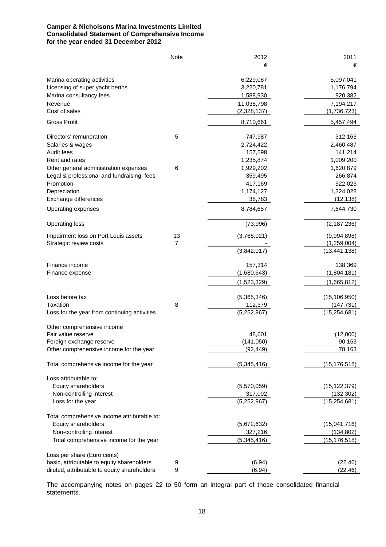# **Camper & Nicholsons Marina Investments Limited Consolidated Statement of Comprehensive Income for the year ended 31 December 2012**

|                                              | Note | 2012          | 2011           |
|----------------------------------------------|------|---------------|----------------|
|                                              |      | €             | €              |
| Marina operating activities                  |      | 6,229,087     | 5,097,041      |
| Licensing of super yacht berths              |      | 3,220,781     | 1,176,794      |
| Marina consultancy fees                      |      | 1,588,930     | 920,382        |
| Revenue                                      |      | 11,038,798    | 7,194,217      |
| Cost of sales                                |      | (2,328,137)   | (1,736,723)    |
| <b>Gross Profit</b>                          |      | 8,710,661     | 5,457,494      |
| Directors' remuneration                      | 5    | 747,987       | 312,163        |
| Salaries & wages                             |      | 2,724,422     | 2,460,487      |
| Audit fees                                   |      | 157,598       | 141,214        |
| Rent and rates                               |      | 1,235,874     | 1,009,200      |
| Other general administration expenses        | 6    | 1,929,202     | 1,620,879      |
| Legal & professional and fundraising fees    |      | 359,495       | 266,874        |
| Promotion                                    |      | 417,169       | 522,023        |
| Depreciation                                 |      | 1,174,127     | 1,324,028      |
| Exchange differences                         |      | 38,783        | (12, 138)      |
| Operating expenses                           |      | 8,784,657     | 7,644,730      |
| <b>Operating loss</b>                        |      | (73,996)      | (2, 187, 236)  |
| Impairment loss on Port Louis assets         | 13   | (3,768,021)   | (9,994,898)    |
| Strategic review costs                       | 7    |               | (1,259,004)    |
|                                              |      | (3,842,017)   | (13, 441, 138) |
| Finance income                               |      | 157,314       | 138,369        |
| Finance expense                              |      | (1,680,643)   | (1,804,181)    |
|                                              |      | (1,523,329)   | (1,665,812)    |
| Loss before tax                              |      | (5,365,346)   | (15, 106, 950) |
| Taxation                                     | 8    | 112,379       | (147, 731)     |
| Loss for the year from continuing activities |      | (5,252,967)   | (15, 254, 681) |
| Other comprehensive income                   |      |               |                |
| Fair value reserve                           |      | 48,601        | (12,000)       |
| Foreign exchange reserve                     |      | (141, 050)    | 90,163         |
| Other comprehensive income for the year      |      | (92, 449)     | 78,163         |
| Total comprehensive income for the year      |      | (5,345,416)   | (15, 176, 518) |
| Loss attributable to:                        |      |               |                |
| Equity shareholders                          |      | (5,570,059)   | (15, 122, 379) |
| Non-controlling interest                     |      | 317,092       | (132, 302)     |
| Loss for the year                            |      | (5, 252, 967) | (15, 254, 681) |
| Total comprehensive income attributable to:  |      |               |                |
| Equity shareholders                          |      | (5,672,632)   | (15,041,716)   |
| Non-controlling interest                     |      | 327,216       | (134, 802)     |
| Total comprehensive income for the year      |      | (5,345,416)   | (15, 176, 518) |
| Loss per share (Euro cents)                  |      |               |                |
| basic, attributable to equity shareholders   | 9    | (6.94)        | (22.46)        |
| diluted, attributable to equity shareholders | 9    | (6.94)        | (22.46)        |

The accompanying notes on pages 22 to 50 form an integral part of these consolidated financial statements.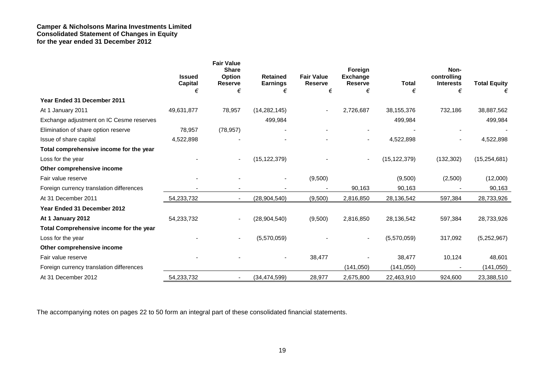# **Camper & Nicholsons Marina Investments Limited Consolidated Statement of Changes in Equity for the year ended 31 December 2012**

|                                          | <b>Issued</b>  | <b>Fair Value</b><br><b>Share</b><br><b>Option</b> | <b>Retained</b> | <b>Fair Value</b> | Foreign<br><b>Exchange</b> |                | Non-<br>controlling |                     |
|------------------------------------------|----------------|----------------------------------------------------|-----------------|-------------------|----------------------------|----------------|---------------------|---------------------|
|                                          | <b>Capital</b> | <b>Reserve</b>                                     | <b>Earnings</b> | <b>Reserve</b>    | <b>Reserve</b>             | <b>Total</b>   | <b>Interests</b>    | <b>Total Equity</b> |
|                                          | €              | €                                                  | €               | €                 | €                          | €              | €                   | €                   |
| Year Ended 31 December 2011              |                |                                                    |                 |                   |                            |                |                     |                     |
| At 1 January 2011                        | 49,631,877     | 78,957                                             | (14, 282, 145)  |                   | 2,726,687                  | 38, 155, 376   | 732,186             | 38,887,562          |
| Exchange adjustment on IC Cesme reserves |                |                                                    | 499,984         |                   |                            | 499,984        |                     | 499,984             |
| Elimination of share option reserve      | 78,957         | (78, 957)                                          |                 |                   |                            |                |                     |                     |
| Issue of share capital                   | 4,522,898      |                                                    |                 |                   | $\overline{\phantom{a}}$   | 4,522,898      |                     | 4,522,898           |
| Total comprehensive income for the year  |                |                                                    |                 |                   |                            |                |                     |                     |
| Loss for the year                        |                | ۰                                                  | (15, 122, 379)  |                   | $\overline{\phantom{a}}$   | (15, 122, 379) | (132, 302)          | (15, 254, 681)      |
| Other comprehensive income               |                |                                                    |                 |                   |                            |                |                     |                     |
| Fair value reserve                       |                |                                                    | $\sim$          | (9,500)           |                            | (9,500)        | (2,500)             | (12,000)            |
| Foreign currency translation differences |                |                                                    |                 |                   | 90,163                     | 90,163         |                     | 90,163              |
| At 31 December 2011                      | 54,233,732     | $\overline{\phantom{a}}$                           | (28,904,540)    | (9,500)           | 2,816,850                  | 28,136,542     | 597,384             | 28,733,926          |
| Year Ended 31 December 2012              |                |                                                    |                 |                   |                            |                |                     |                     |
| At 1 January 2012                        | 54,233,732     |                                                    | (28, 904, 540)  | (9,500)           | 2,816,850                  | 28,136,542     | 597,384             | 28,733,926          |
| Total Comprehensive income for the year  |                |                                                    |                 |                   |                            |                |                     |                     |
| Loss for the year                        |                | $\overline{\phantom{a}}$                           | (5,570,059)     |                   |                            | (5,570,059)    | 317,092             | (5,252,967)         |
| Other comprehensive income               |                |                                                    |                 |                   |                            |                |                     |                     |
| Fair value reserve                       |                |                                                    |                 | 38,477            |                            | 38,477         | 10,124              | 48,601              |
| Foreign currency translation differences |                |                                                    |                 |                   | (141,050)                  | (141, 050)     |                     | (141,050)           |
| At 31 December 2012                      | 54,233,732     | ۰                                                  | (34, 474, 599)  | 28,977            | 2,675,800                  | 22,463,910     | 924,600             | 23,388,510          |

The accompanying notes on pages 22 to 50 form an integral part of these consolidated financial statements.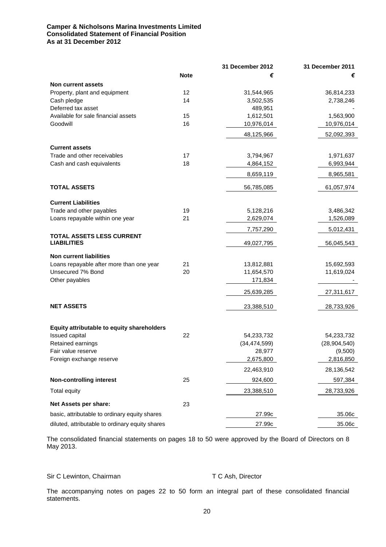# **Camper & Nicholsons Marina Investments Limited Consolidated Statement of Financial Position As at 31 December 2012**

|                                                 |             | 31 December 2012         | 31 December 2011          |
|-------------------------------------------------|-------------|--------------------------|---------------------------|
|                                                 | <b>Note</b> | €                        | €                         |
| Non current assets                              |             |                          |                           |
| Property, plant and equipment                   | 12          | 31,544,965               | 36,814,233                |
| Cash pledge                                     | 14          | 3,502,535                | 2,738,246                 |
| Deferred tax asset                              |             | 489,951                  |                           |
| Available for sale financial assets             | 15          | 1,612,501                | 1,563,900                 |
| Goodwill                                        | 16          | 10,976,014               | 10,976,014                |
|                                                 |             | 48,125,966               | 52,092,393                |
| <b>Current assets</b>                           |             |                          |                           |
| Trade and other receivables                     | 17          | 3,794,967                | 1,971,637                 |
| Cash and cash equivalents                       | 18          | 4,864,152                | 6,993,944                 |
|                                                 |             | 8,659,119                | 8,965,581                 |
| <b>TOTAL ASSETS</b>                             |             | 56,785,085               | 61,057,974                |
| <b>Current Liabilities</b>                      |             |                          |                           |
| Trade and other payables                        | 19          | 5,128,216                | 3,486,342                 |
| Loans repayable within one year                 | 21          | 2,629,074                | 1,526,089                 |
|                                                 |             | 7,757,290                | 5,012,431                 |
| TOTAL ASSETS LESS CURRENT<br><b>LIABILITIES</b> |             | 49,027,795               | 56,045,543                |
| <b>Non current liabilities</b>                  |             |                          |                           |
| Loans repayable after more than one year        | 21          | 13,812,881               | 15,692,593                |
| Unsecured 7% Bond                               | 20          | 11,654,570               | 11,619,024                |
| Other payables                                  |             | 171,834                  |                           |
|                                                 |             | 25,639,285               | 27,311,617                |
| <b>NET ASSETS</b>                               |             | 23,388,510               | 28,733,926                |
|                                                 |             |                          |                           |
| Equity attributable to equity shareholders      |             |                          |                           |
| Issued capital                                  | 22          | 54,233,732               | 54,233,732                |
| Retained earnings<br>Fair value reserve         |             | (34, 474, 599)<br>28,977 | (28, 904, 540)<br>(9,500) |
| Foreign exchange reserve                        |             | 2,675,800                | 2,816,850                 |
|                                                 |             | 22,463,910               | 28,136,542                |
|                                                 |             |                          |                           |
| <b>Non-controlling interest</b>                 | 25          | 924,600                  | 597,384                   |
| Total equity                                    |             | 23,388,510               | 28,733,926                |
| Net Assets per share:                           | 23          |                          |                           |
| basic, attributable to ordinary equity shares   |             | 27.99c                   | 35.06c                    |
| diluted, attributable to ordinary equity shares |             | 27.99c                   | 35.06c                    |

The consolidated financial statements on pages 18 to 50 were approved by the Board of Directors on 8 May 2013.

# Sir C Lewinton, Chairman T C Ash, Director

The accompanying notes on pages 22 to 50 form an integral part of these consolidated financial statements.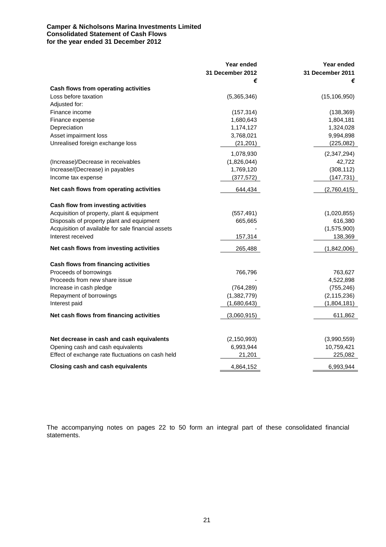# **Camper & Nicholsons Marina Investments Limited Consolidated Statement of Cash Flows for the year ended 31 December 2012**

|                                                                         | Year ended            | Year ended            |
|-------------------------------------------------------------------------|-----------------------|-----------------------|
|                                                                         | 31 December 2012<br>€ | 31 December 2011<br>€ |
| Cash flows from operating activities                                    |                       |                       |
| Loss before taxation                                                    | (5,365,346)           | (15, 106, 950)        |
| Adjusted for:                                                           |                       |                       |
| Finance income                                                          | (157, 314)            | (138, 369)            |
| Finance expense                                                         | 1,680,643             | 1,804,181             |
| Depreciation                                                            | 1,174,127             | 1,324,028             |
| Asset impairment loss                                                   | 3,768,021             | 9,994,898             |
| Unrealised foreign exchange loss                                        | (21, 201)             | (225, 082)            |
|                                                                         | 1,078,930             | (2,347,294)           |
| (Increase)/Decrease in receivables                                      | (1,826,044)           | 42,722                |
| Increase/(Decrease) in payables                                         | 1,769,120             | (308, 112)            |
| Income tax expense                                                      | (377, 572)            | (147, 731)            |
| Net cash flows from operating activities                                | 644,434               | (2,760,415)           |
|                                                                         |                       |                       |
| Cash flow from investing activities                                     |                       |                       |
| Acquisition of property, plant & equipment                              | (557, 491)            | (1,020,855)           |
| Disposals of property plant and equipment                               | 665,665               | 616,380               |
| Acquisition of available for sale financial assets<br>Interest received |                       | (1,575,900)           |
|                                                                         | 157,314               | 138,369               |
| Net cash flows from investing activities                                | 265,488               | (1,842,006)           |
| Cash flows from financing activities                                    |                       |                       |
| Proceeds of borrowings                                                  | 766,796               | 763,627               |
| Proceeds from new share issue                                           |                       | 4,522,898             |
| Increase in cash pledge                                                 | (764, 289)            | (755, 246)            |
| Repayment of borrowings                                                 | (1,382,779)           | (2, 115, 236)         |
| Interest paid                                                           | (1,680,643)           | (1,804,181)           |
| Net cash flows from financing activities                                | (3,060,915)           | 611,862               |
|                                                                         |                       |                       |
| Net decrease in cash and cash equivalents                               | (2, 150, 993)         | (3,990,559)           |
| Opening cash and cash equivalents                                       | 6,993,944             | 10,759,421            |
| Effect of exchange rate fluctuations on cash held                       | 21,201                | 225,082               |
| <b>Closing cash and cash equivalents</b>                                | 4,864,152             | 6,993,944             |

The accompanying notes on pages 22 to 50 form an integral part of these consolidated financial statements.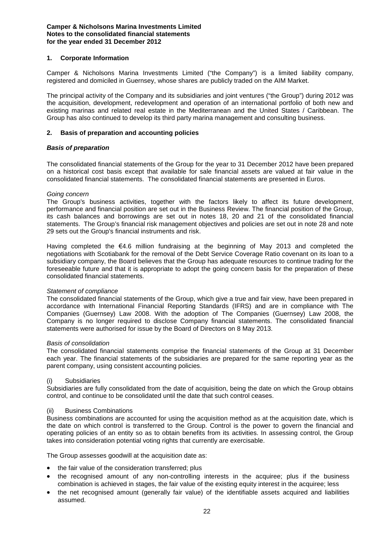# **1. Corporate Information**

Camper & Nicholsons Marina Investments Limited ("the Company") is a limited liability company, registered and domiciled in Guernsey, whose shares are publicly traded on the AIM Market.

The principal activity of the Company and its subsidiaries and joint ventures ("the Group") during 2012 was the acquisition, development, redevelopment and operation of an international portfolio of both new and existing marinas and related real estate in the Mediterranean and the United States / Caribbean. The Group has also continued to develop its third party marina management and consulting business.

# **2. Basis of preparation and accounting policies**

#### *Basis of preparation*

The consolidated financial statements of the Group for the year to 31 December 2012 have been prepared on a historical cost basis except that available for sale financial assets are valued at fair value in the consolidated financial statements. The consolidated financial statements are presented in Euros.

#### *Going concern*

The Group's business activities, together with the factors likely to affect its future development, performance and financial position are set out in the Business Review. The financial position of the Group, its cash balances and borrowings are set out in notes 18, 20 and 21 of the consolidated financial statements. The Group's financial risk management objectives and policies are set out in note 28 and note 29 sets out the Group's financial instruments and risk.

Having completed the €4.6 million fundraising at the beginning of May 2013 and completed the negotiations with Scotiabank for the removal of the Debt Service Coverage Ratio covenant on its loan to a subsidiary company, the Board believes that the Group has adequate resources to continue trading for the foreseeable future and that it is appropriate to adopt the going concern basis for the preparation of these consolidated financial statements.

#### *Statement of compliance*

The consolidated financial statements of the Group, which give a true and fair view, have been prepared in accordance with International Financial Reporting Standards (IFRS) and are in compliance with The Companies (Guernsey) Law 2008. With the adoption of The Companies (Guernsey) Law 2008, the Company is no longer required to disclose Company financial statements. The consolidated financial statements were authorised for issue by the Board of Directors on 8 May 2013.

#### *Basis of consolidation*

The consolidated financial statements comprise the financial statements of the Group at 31 December each year. The financial statements of the subsidiaries are prepared for the same reporting year as the parent company, using consistent accounting policies.

#### (i) Subsidiaries

Subsidiaries are fully consolidated from the date of acquisition, being the date on which the Group obtains control, and continue to be consolidated until the date that such control ceases.

#### (ii) Business Combinations

Business combinations are accounted for using the acquisition method as at the acquisition date, which is the date on which control is transferred to the Group. Control is the power to govern the financial and operating policies of an entity so as to obtain benefits from its activities. In assessing control, the Group takes into consideration potential voting rights that currently are exercisable.

The Group assesses goodwill at the acquisition date as:

- the fair value of the consideration transferred; plus
- the recognised amount of any non-controlling interests in the acquiree; plus if the business combination is achieved in stages, the fair value of the existing equity interest in the acquiree; less
- the net recognised amount (generally fair value) of the identifiable assets acquired and liabilities assumed.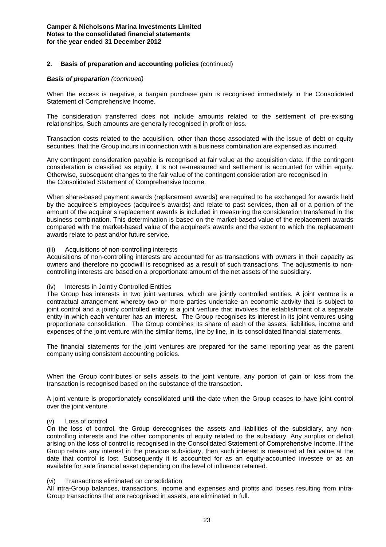#### *Basis of preparation (continued)*

When the excess is negative, a bargain purchase gain is recognised immediately in the Consolidated Statement of Comprehensive Income.

The consideration transferred does not include amounts related to the settlement of pre-existing relationships. Such amounts are generally recognised in profit or loss.

Transaction costs related to the acquisition, other than those associated with the issue of debt or equity securities, that the Group incurs in connection with a business combination are expensed as incurred.

Any contingent consideration payable is recognised at fair value at the acquisition date. If the contingent consideration is classified as equity, it is not re-measured and settlement is accounted for within equity. Otherwise, subsequent changes to the fair value of the contingent consideration are recognised in the Consolidated Statement of Comprehensive Income.

When share-based payment awards (replacement awards) are required to be exchanged for awards held by the acquiree's employees (acquiree's awards) and relate to past services, then all or a portion of the amount of the acquirer's replacement awards is included in measuring the consideration transferred in the business combination. This determination is based on the market-based value of the replacement awards compared with the market-based value of the acquiree's awards and the extent to which the replacement awards relate to past and/or future service.

#### (iii) Acquisitions of non-controlling interests

Acquisitions of non-controlling interests are accounted for as transactions with owners in their capacity as owners and therefore no goodwill is recognised as a result of such transactions. The adjustments to noncontrolling interests are based on a proportionate amount of the net assets of the subsidiary.

#### (iv) Interests in Jointly Controlled Entities

The Group has interests in two joint ventures, which are jointly controlled entities. A joint venture is a contractual arrangement whereby two or more parties undertake an economic activity that is subject to joint control and a jointly controlled entity is a joint venture that involves the establishment of a separate entity in which each venturer has an interest. The Group recognises its interest in its joint ventures using proportionate consolidation. The Group combines its share of each of the assets, liabilities, income and expenses of the joint venture with the similar items, line by line, in its consolidated financial statements.

The financial statements for the joint ventures are prepared for the same reporting year as the parent company using consistent accounting policies.

When the Group contributes or sells assets to the joint venture, any portion of gain or loss from the transaction is recognised based on the substance of the transaction.

A joint venture is proportionately consolidated until the date when the Group ceases to have joint control over the joint venture.

#### (v) Loss of control

On the loss of control, the Group derecognises the assets and liabilities of the subsidiary, any noncontrolling interests and the other components of equity related to the subsidiary. Any surplus or deficit arising on the loss of control is recognised in the Consolidated Statement of Comprehensive Income. If the Group retains any interest in the previous subsidiary, then such interest is measured at fair value at the date that control is lost. Subsequently it is accounted for as an equity-accounted investee or as an available for sale financial asset depending on the level of influence retained.

# (vi) Transactions eliminated on consolidation

All intra-Group balances, transactions, income and expenses and profits and losses resulting from intra-Group transactions that are recognised in assets, are eliminated in full.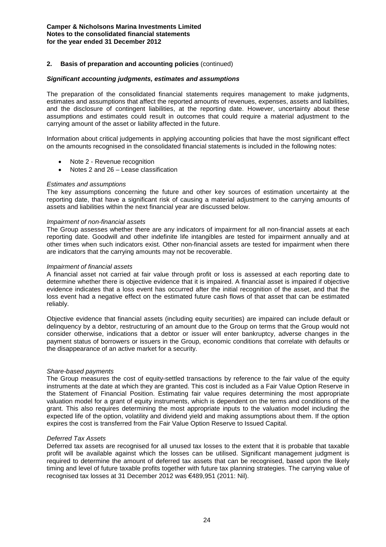# **2. Basis of preparation and accounting policies** (continued)

#### *Significant accounting judgments, estimates and assumptions*

The preparation of the consolidated financial statements requires management to make judgments, estimates and assumptions that affect the reported amounts of revenues, expenses, assets and liabilities, and the disclosure of contingent liabilities, at the reporting date. However, uncertainty about these assumptions and estimates could result in outcomes that could require a material adjustment to the carrying amount of the asset or liability affected in the future.

Information about critical judgements in applying accounting policies that have the most significant effect on the amounts recognised in the consolidated financial statements is included in the following notes:

- Note 2 Revenue recognition
- Notes 2 and 26 Lease classification

#### *Estimates and assumptions*

The key assumptions concerning the future and other key sources of estimation uncertainty at the reporting date, that have a significant risk of causing a material adjustment to the carrying amounts of assets and liabilities within the next financial year are discussed below.

#### *Impairment of non-financial assets*

The Group assesses whether there are any indicators of impairment for all non-financial assets at each reporting date. Goodwill and other indefinite life intangibles are tested for impairment annually and at other times when such indicators exist. Other non-financial assets are tested for impairment when there are indicators that the carrying amounts may not be recoverable.

#### *Impairment of financial assets*

A financial asset not carried at fair value through profit or loss is assessed at each reporting date to determine whether there is objective evidence that it is impaired. A financial asset is impaired if objective evidence indicates that a loss event has occurred after the initial recognition of the asset, and that the loss event had a negative effect on the estimated future cash flows of that asset that can be estimated reliably.

Objective evidence that financial assets (including equity securities) are impaired can include default or delinquency by a debtor, restructuring of an amount due to the Group on terms that the Group would not consider otherwise, indications that a debtor or issuer will enter bankruptcy, adverse changes in the payment status of borrowers or issuers in the Group, economic conditions that correlate with defaults or the disappearance of an active market for a security.

#### *Share-based payments*

The Group measures the cost of equity-settled transactions by reference to the fair value of the equity instruments at the date at which they are granted. This cost is included as a Fair Value Option Reserve in the Statement of Financial Position. Estimating fair value requires determining the most appropriate valuation model for a grant of equity instruments, which is dependent on the terms and conditions of the grant. This also requires determining the most appropriate inputs to the valuation model including the expected life of the option, volatility and dividend yield and making assumptions about them. If the option expires the cost is transferred from the Fair Value Option Reserve to Issued Capital.

#### *Deferred Tax Assets*

Deferred tax assets are recognised for all unused tax losses to the extent that it is probable that taxable profit will be available against which the losses can be utilised. Significant management judgment is required to determine the amount of deferred tax assets that can be recognised, based upon the likely timing and level of future taxable profits together with future tax planning strategies. The carrying value of recognised tax losses at 31 December 2012 was €489,951 (2011: Nil).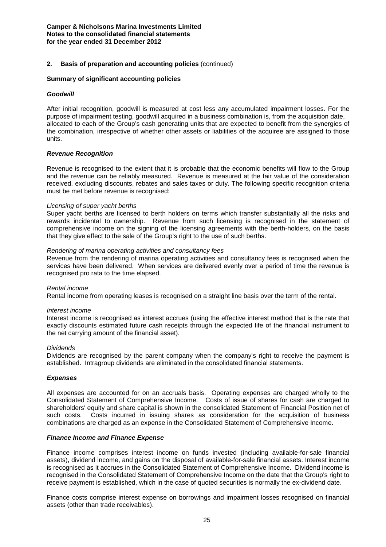#### **Summary of significant accounting policies**

#### *Goodwill*

After initial recognition, goodwill is measured at cost less any accumulated impairment losses. For the purpose of impairment testing, goodwill acquired in a business combination is, from the acquisition date, allocated to each of the Group's cash generating units that are expected to benefit from the synergies of the combination, irrespective of whether other assets or liabilities of the acquiree are assigned to those units.

#### *Revenue Recognition*

Revenue is recognised to the extent that it is probable that the economic benefits will flow to the Group and the revenue can be reliably measured. Revenue is measured at the fair value of the consideration received, excluding discounts, rebates and sales taxes or duty. The following specific recognition criteria must be met before revenue is recognised:

#### *Licensing of super yacht berths*

Super yacht berths are licensed to berth holders on terms which transfer substantially all the risks and rewards incidental to ownership. Revenue from such licensing is recognised in the statement of comprehensive income on the signing of the licensing agreements with the berth-holders, on the basis that they give effect to the sale of the Group's right to the use of such berths.

#### *Rendering of marina operating activities and consultancy fees*

Revenue from the rendering of marina operating activities and consultancy fees is recognised when the services have been delivered. When services are delivered evenly over a period of time the revenue is recognised pro rata to the time elapsed.

#### *Rental income*

Rental income from operating leases is recognised on a straight line basis over the term of the rental.

#### *Interest income*

Interest income is recognised as interest accrues (using the effective interest method that is the rate that exactly discounts estimated future cash receipts through the expected life of the financial instrument to the net carrying amount of the financial asset).

#### *Dividends*

Dividends are recognised by the parent company when the company's right to receive the payment is established. Intragroup dividends are eliminated in the consolidated financial statements.

#### *Expenses*

All expenses are accounted for on an accruals basis. Operating expenses are charged wholly to the Consolidated Statement of Comprehensive Income. Costs of issue of shares for cash are charged to shareholders' equity and share capital is shown in the consolidated Statement of Financial Position net of such costs. Costs incurred in issuing shares as consideration for the acquisition of business combinations are charged as an expense in the Consolidated Statement of Comprehensive Income.

#### *Finance Income and Finance Expense*

Finance income comprises interest income on funds invested (including available-for-sale financial assets), dividend income, and gains on the disposal of available-for-sale financial assets. Interest income is recognised as it accrues in the Consolidated Statement of Comprehensive Income. Dividend income is recognised in the Consolidated Statement of Comprehensive Income on the date that the Group's right to receive payment is established, which in the case of quoted securities is normally the ex-dividend date.

Finance costs comprise interest expense on borrowings and impairment losses recognised on financial assets (other than trade receivables).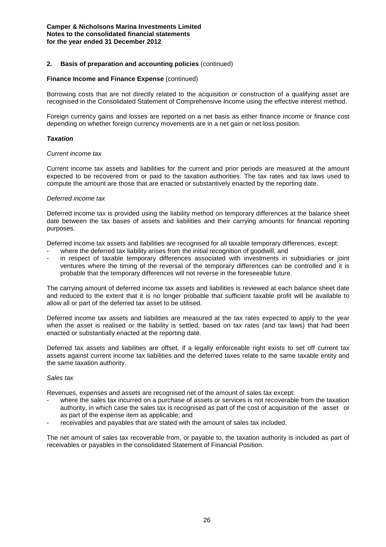#### **Finance Income and Finance Expense** (continued)

Borrowing costs that are not directly related to the acquisition or construction of a qualifying asset are recognised in the Consolidated Statement of Comprehensive Income using the effective interest method.

Foreign currency gains and losses are reported on a net basis as either finance income or finance cost depending on whether foreign currency movements are in a net gain or net loss position.

#### *Taxation*

#### *Current income tax*

Current income tax assets and liabilities for the current and prior periods are measured at the amount expected to be recovered from or paid to the taxation authorities. The tax rates and tax laws used to compute the amount are those that are enacted or substantively enacted by the reporting date.

#### *Deferred income tax*

Deferred income tax is provided using the liability method on temporary differences at the balance sheet date between the tax bases of assets and liabilities and their carrying amounts for financial reporting purposes.

Deferred income tax assets and liabilities are recognised for all taxable temporary differences, except:

- where the deferred tax liability arises from the initial recognition of goodwill, and
- in respect of taxable temporary differences associated with investments in subsidiaries or joint ventures where the timing of the reversal of the temporary differences can be controlled and it is probable that the temporary differences will not reverse in the foreseeable future.

The carrying amount of deferred income tax assets and liabilities is reviewed at each balance sheet date and reduced to the extent that it is no longer probable that sufficient taxable profit will be available to allow all or part of the deferred tax asset to be utilised.

Deferred income tax assets and liabilities are measured at the tax rates expected to apply to the year when the asset is realised or the liability is settled, based on tax rates (and tax laws) that had been enacted or substantially enacted at the reporting date.

Deferred tax assets and liabilities are offset, if a legally enforceable right exists to set off current tax assets against current income tax liabilities and the deferred taxes relate to the same taxable entity and the same taxation authority.

#### *Sales tax*

Revenues, expenses and assets are recognised net of the amount of sales tax except:

- where the sales tax incurred on a purchase of assets or services is not recoverable from the taxation authority, in which case the sales tax is recognised as part of the cost of acquisition of the asset or as part of the expense item as applicable; and
- receivables and payables that are stated with the amount of sales tax included.

The net amount of sales tax recoverable from, or payable to, the taxation authority is included as part of receivables or payables in the consolidated Statement of Financial Position.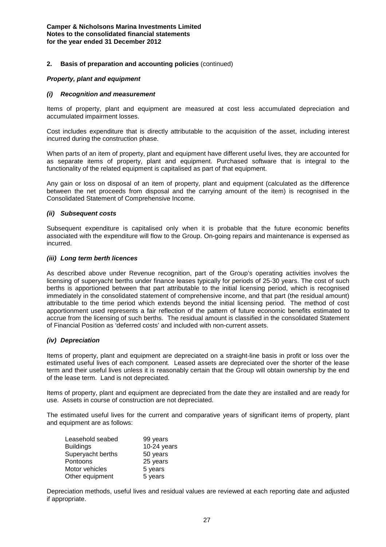#### *Property, plant and equipment*

#### *(i) Recognition and measurement*

Items of property, plant and equipment are measured at cost less accumulated depreciation and accumulated impairment losses.

Cost includes expenditure that is directly attributable to the acquisition of the asset, including interest incurred during the construction phase.

When parts of an item of property, plant and equipment have different useful lives, they are accounted for as separate items of property, plant and equipment. Purchased software that is integral to the functionality of the related equipment is capitalised as part of that equipment.

Any gain or loss on disposal of an item of property, plant and equipment (calculated as the difference between the net proceeds from disposal and the carrying amount of the item) is recognised in the Consolidated Statement of Comprehensive Income.

#### *(ii) Subsequent costs*

Subsequent expenditure is capitalised only when it is probable that the future economic benefits associated with the expenditure will flow to the Group. On-going repairs and maintenance is expensed as incurred.

#### *(iii) Long term berth licences*

As described above under Revenue recognition, part of the Group's operating activities involves the licensing of superyacht berths under finance leases typically for periods of 25-30 years. The cost of such berths is apportioned between that part attributable to the initial licensing period, which is recognised immediately in the consolidated statement of comprehensive income, and that part (the residual amount) attributable to the time period which extends beyond the initial licensing period. The method of cost apportionment used represents a fair reflection of the pattern of future economic benefits estimated to accrue from the licensing of such berths. The residual amount is classified in the consolidated Statement of Financial Position as 'deferred costs' and included with non-current assets.

#### *(iv) Depreciation*

Items of property, plant and equipment are depreciated on a straight-line basis in profit or loss over the estimated useful lives of each component. Leased assets are depreciated over the shorter of the lease term and their useful lives unless it is reasonably certain that the Group will obtain ownership by the end of the lease term. Land is not depreciated.

Items of property, plant and equipment are depreciated from the date they are installed and are ready for use. Assets in course of construction are not depreciated.

The estimated useful lives for the current and comparative years of significant items of property, plant and equipment are as follows:

| Leasehold seabed  | 99 years      |
|-------------------|---------------|
| <b>Buildings</b>  | $10-24$ years |
| Superyacht berths | 50 years      |
| Pontoons          | 25 years      |
| Motor vehicles    | 5 years       |
| Other equipment   | 5 years       |

Depreciation methods, useful lives and residual values are reviewed at each reporting date and adjusted if appropriate.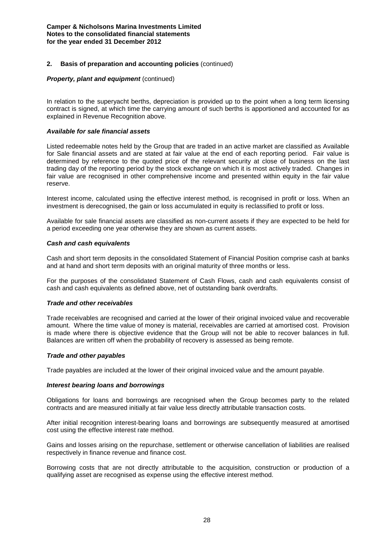#### *Property, plant and equipment (continued)*

In relation to the superyacht berths, depreciation is provided up to the point when a long term licensing contract is signed, at which time the carrying amount of such berths is apportioned and accounted for as explained in Revenue Recognition above.

#### *Available for sale financial assets*

Listed redeemable notes held by the Group that are traded in an active market are classified as Available for Sale financial assets and are stated at fair value at the end of each reporting period. Fair value is determined by reference to the quoted price of the relevant security at close of business on the last trading day of the reporting period by the stock exchange on which it is most actively traded. Changes in fair value are recognised in other comprehensive income and presented within equity in the fair value reserve.

Interest income, calculated using the effective interest method, is recognised in profit or loss. When an investment is derecognised, the gain or loss accumulated in equity is reclassified to profit or loss.

Available for sale financial assets are classified as non-current assets if they are expected to be held for a period exceeding one year otherwise they are shown as current assets.

# *Cash and cash equivalents*

Cash and short term deposits in the consolidated Statement of Financial Position comprise cash at banks and at hand and short term deposits with an original maturity of three months or less.

For the purposes of the consolidated Statement of Cash Flows, cash and cash equivalents consist of cash and cash equivalents as defined above, net of outstanding bank overdrafts.

# *Trade and other receivables*

Trade receivables are recognised and carried at the lower of their original invoiced value and recoverable amount. Where the time value of money is material, receivables are carried at amortised cost. Provision is made where there is objective evidence that the Group will not be able to recover balances in full. Balances are written off when the probability of recovery is assessed as being remote.

#### *Trade and other payables*

Trade payables are included at the lower of their original invoiced value and the amount payable.

#### *Interest bearing loans and borrowings*

Obligations for loans and borrowings are recognised when the Group becomes party to the related contracts and are measured initially at fair value less directly attributable transaction costs.

After initial recognition interest-bearing loans and borrowings are subsequently measured at amortised cost using the effective interest rate method.

Gains and losses arising on the repurchase, settlement or otherwise cancellation of liabilities are realised respectively in finance revenue and finance cost.

Borrowing costs that are not directly attributable to the acquisition, construction or production of a qualifying asset are recognised as expense using the effective interest method.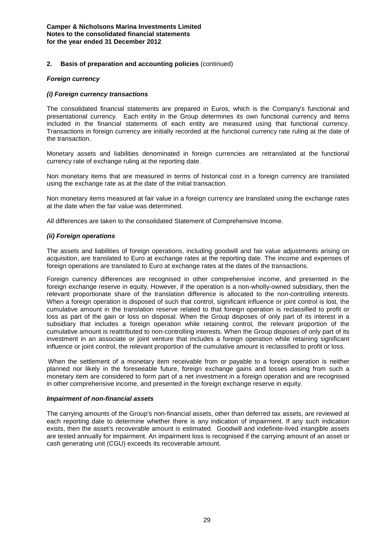# **2. Basis of preparation and accounting policies** (continued)

# *Foreign currency*

#### *(i) Foreign currency transactions*

The consolidated financial statements are prepared in Euros, which is the Company's functional and presentational currency. Each entity in the Group determines its own functional currency and items included in the financial statements of each entity are measured using that functional currency. Transactions in foreign currency are initially recorded at the functional currency rate ruling at the date of the transaction.

Monetary assets and liabilities denominated in foreign currencies are retranslated at the functional currency rate of exchange ruling at the reporting date.

Non monetary items that are measured in terms of historical cost in a foreign currency are translated using the exchange rate as at the date of the initial transaction.

Non monetary items measured at fair value in a foreign currency are translated using the exchange rates at the date when the fair value was determined.

All differences are taken to the consolidated Statement of Comprehensive Income.

#### *(ii) Foreign operations*

The assets and liabilities of foreign operations, including goodwill and fair value adjustments arising on acquisition, are translated to Euro at exchange rates at the reporting date. The income and expenses of foreign operations are translated to Euro at exchange rates at the dates of the transactions.

Foreign currency differences are recognised in other comprehensive income, and presented in the foreign exchange reserve in equity. However, if the operation is a non-wholly-owned subsidiary, then the relevant proportionate share of the translation difference is allocated to the non-controlling interests. When a foreign operation is disposed of such that control, significant influence or joint control is lost, the cumulative amount in the translation reserve related to that foreign operation is reclassified to profit or loss as part of the gain or loss on disposal. When the Group disposes of only part of its interest in a subsidiary that includes a foreign operation while retaining control, the relevant proportion of the cumulative amount is reattributed to non-controlling interests. When the Group disposes of only part of its investment in an associate or joint venture that includes a foreign operation while retaining significant influence or joint control, the relevant proportion of the cumulative amount is reclassified to profit or loss.

When the settlement of a monetary item receivable from or payable to a foreign operation is neither planned nor likely in the foreseeable future, foreign exchange gains and losses arising from such a monetary item are considered to form part of a net investment in a foreign operation and are recognised in other comprehensive income, and presented in the foreign exchange reserve in equity.

#### *Impairment of non-financial assets*

The carrying amounts of the Group's non-financial assets, other than deferred tax assets, are reviewed at each reporting date to determine whether there is any indication of impairment. If any such indication exists, then the asset's recoverable amount is estimated. Goodwill and indefinite-lived intangible assets are tested annually for impairment. An impairment loss is recognised if the carrying amount of an asset or cash generating unit (CGU) exceeds its recoverable amount.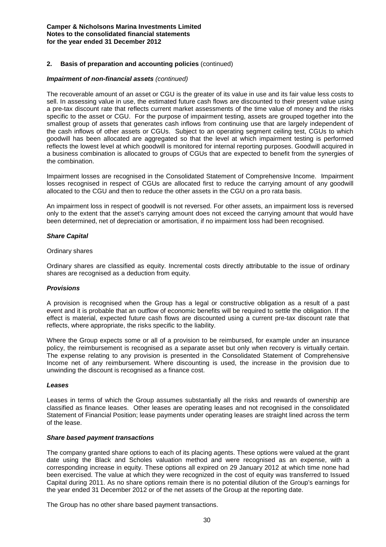#### **2. Basis of preparation and accounting policies** (continued)

#### *Impairment of non-financial assets (continued)*

The recoverable amount of an asset or CGU is the greater of its value in use and its fair value less costs to sell. In assessing value in use, the estimated future cash flows are discounted to their present value using a pre-tax discount rate that reflects current market assessments of the time value of money and the risks specific to the asset or CGU. For the purpose of impairment testing, assets are grouped together into the smallest group of assets that generates cash inflows from continuing use that are largely independent of the cash inflows of other assets or CGUs. Subject to an operating segment ceiling test, CGUs to which goodwill has been allocated are aggregated so that the level at which impairment testing is performed reflects the lowest level at which goodwill is monitored for internal reporting purposes. Goodwill acquired in a business combination is allocated to groups of CGUs that are expected to benefit from the synergies of the combination.

Impairment losses are recognised in the Consolidated Statement of Comprehensive Income. Impairment losses recognised in respect of CGUs are allocated first to reduce the carrying amount of any goodwill allocated to the CGU and then to reduce the other assets in the CGU on a pro rata basis.

An impairment loss in respect of goodwill is not reversed. For other assets, an impairment loss is reversed only to the extent that the asset's carrying amount does not exceed the carrying amount that would have been determined, net of depreciation or amortisation, if no impairment loss had been recognised.

#### *Share Capital*

#### Ordinary shares

Ordinary shares are classified as equity. Incremental costs directly attributable to the issue of ordinary shares are recognised as a deduction from equity.

#### *Provisions*

A provision is recognised when the Group has a legal or constructive obligation as a result of a past event and it is probable that an outflow of economic benefits will be required to settle the obligation. If the effect is material, expected future cash flows are discounted using a current pre-tax discount rate that reflects, where appropriate, the risks specific to the liability.

Where the Group expects some or all of a provision to be reimbursed, for example under an insurance policy, the reimbursement is recognised as a separate asset but only when recovery is virtually certain. The expense relating to any provision is presented in the Consolidated Statement of Comprehensive Income net of any reimbursement. Where discounting is used, the increase in the provision due to unwinding the discount is recognised as a finance cost.

#### *Leases*

Leases in terms of which the Group assumes substantially all the risks and rewards of ownership are classified as finance leases. Other leases are operating leases and not recognised in the consolidated Statement of Financial Position; lease payments under operating leases are straight lined across the term of the lease.

#### *Share based payment transactions*

The company granted share options to each of its placing agents. These options were valued at the grant date using the Black and Scholes valuation method and were recognised as an expense, with a corresponding increase in equity. These options all expired on 29 January 2012 at which time none had been exercised. The value at which they were recognized in the cost of equity was transferred to Issued Capital during 2011. As no share options remain there is no potential dilution of the Group's earnings for the year ended 31 December 2012 or of the net assets of the Group at the reporting date.

The Group has no other share based payment transactions.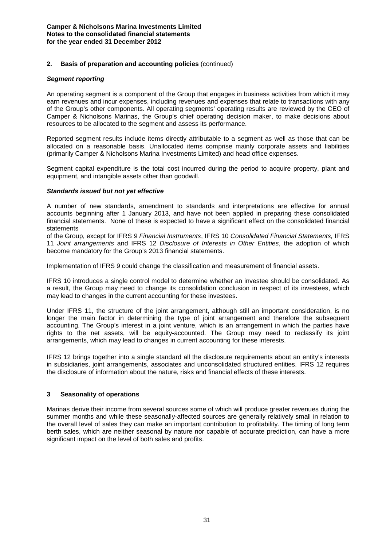#### *Segment reporting*

An operating segment is a component of the Group that engages in business activities from which it may earn revenues and incur expenses, including revenues and expenses that relate to transactions with any of the Group's other components. All operating segments' operating results are reviewed by the CEO of Camper & Nicholsons Marinas, the Group's chief operating decision maker, to make decisions about resources to be allocated to the segment and assess its performance.

Reported segment results include items directly attributable to a segment as well as those that can be allocated on a reasonable basis. Unallocated items comprise mainly corporate assets and liabilities (primarily Camper & Nicholsons Marina Investments Limited) and head office expenses.

Segment capital expenditure is the total cost incurred during the period to acquire property, plant and equipment, and intangible assets other than goodwill.

# *Standards issued but not yet effective*

A number of new standards, amendment to standards and interpretations are effective for annual accounts beginning after 1 January 2013, and have not been applied in preparing these consolidated financial statements. None of these is expected to have a significant effect on the consolidated financial statements

of the Group, except for IFRS *9 Financial Instruments*, IFRS 10 *Consolidated Financial Statements,* IFRS 11 *Joint arrangements* and IFRS 12 *Disclosure of Interests in Other Entities*, the adoption of which become mandatory for the Group's 2013 financial statements.

Implementation of IFRS 9 could change the classification and measurement of financial assets.

IFRS 10 introduces a single control model to determine whether an investee should be consolidated. As a result, the Group may need to change its consolidation conclusion in respect of its investees, which may lead to changes in the current accounting for these investees.

Under IFRS 11, the structure of the joint arrangement, although still an important consideration, is no longer the main factor in determining the type of joint arrangement and therefore the subsequent accounting. The Group's interest in a joint venture, which is an arrangement in which the parties have rights to the net assets, will be equity-accounted. The Group may need to reclassify its joint arrangements, which may lead to changes in current accounting for these interests.

IFRS 12 brings together into a single standard all the disclosure requirements about an entity's interests in subsidiaries, joint arrangements, associates and unconsolidated structured entities. IFRS 12 requires the disclosure of information about the nature, risks and financial effects of these interests.

# **3 Seasonality of operations**

Marinas derive their income from several sources some of which will produce greater revenues during the summer months and while these seasonally-affected sources are generally relatively small in relation to the overall level of sales they can make an important contribution to profitability. The timing of long term berth sales, which are neither seasonal by nature nor capable of accurate prediction, can have a more significant impact on the level of both sales and profits.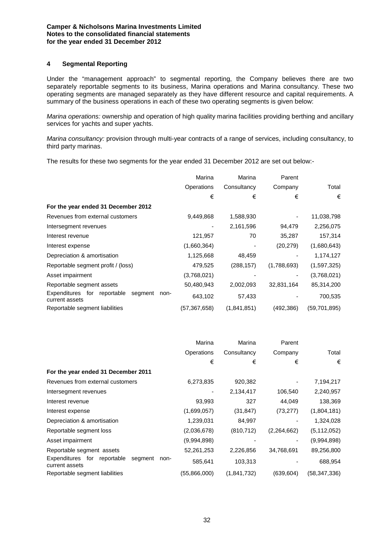# **4 Segmental Reporting**

Under the "management approach" to segmental reporting, the Company believes there are two separately reportable segments to its business, Marina operations and Marina consultancy. These two operating segments are managed separately as they have different resource and capital requirements. A summary of the business operations in each of these two operating segments is given below:

*Marina operations:* ownership and operation of high quality marina facilities providing berthing and ancillary services for yachts and super yachts.

*Marina consultancy:* provision through multi-year contracts of a range of services, including consultancy, to third party marinas.

The results for these two segments for the year ended 31 December 2012 are set out below:-

|                                                                  | Marina       | Marina      | Parent      |                |
|------------------------------------------------------------------|--------------|-------------|-------------|----------------|
|                                                                  | Operations   | Consultancy | Company     | Total          |
|                                                                  | €            | €           | €           | €              |
| For the year ended 31 December 2012                              |              |             |             |                |
| Revenues from external customers                                 | 9,449,868    | 1,588,930   | -           | 11,038,798     |
| Intersegment revenues                                            |              | 2,161,596   | 94,479      | 2,256,075      |
| Interest revenue                                                 | 121,957      | 70          | 35,287      | 157,314        |
| Interest expense                                                 | (1,660,364)  |             | (20, 279)   | (1,680,643)    |
| Depreciation & amortisation                                      | 1,125,668    | 48,459      |             | 1,174,127      |
| Reportable segment profit / (loss)                               | 479,525      | (288, 157)  | (1,788,693) | (1,597,325)    |
| Asset impairment                                                 | (3,768,021)  |             |             | (3,768,021)    |
| Reportable segment assets                                        | 50,480,943   | 2,002,093   | 32,831,164  | 85,314,200     |
| Expenditures for reportable<br>segment<br>non-<br>current assets | 643,102      | 57,433      |             | 700,535        |
| Reportable segment liabilities                                   | (57,367,658) | (1,841,851) | (492,386)   | (59, 701, 895) |

|                                                                     | Marina       | Marina      | Parent      |                |
|---------------------------------------------------------------------|--------------|-------------|-------------|----------------|
|                                                                     | Operations   | Consultancy | Company     | Total          |
|                                                                     | €            | €           | €           | €              |
| For the year ended 31 December 2011                                 |              |             |             |                |
| Revenues from external customers                                    | 6,273,835    | 920,382     | ۰           | 7,194,217      |
| Intersegment revenues                                               |              | 2,134,417   | 106,540     | 2,240,957      |
| Interest revenue                                                    | 93,993       | 327         | 44,049      | 138,369        |
| Interest expense                                                    | (1,699,057)  | (31, 847)   | (73, 277)   | (1,804,181)    |
| Depreciation & amortisation                                         | 1,239,031    | 84,997      |             | 1,324,028      |
| Reportable segment loss                                             | (2,036,678)  | (810, 712)  | (2,264,662) | (5, 112, 052)  |
| Asset impairment                                                    | (9,994,898)  |             | ۰           | (9,994,898)    |
| Reportable segment assets                                           | 52,261,253   | 2,226,856   | 34,768,691  | 89,256,800     |
| Expenditures for<br>reportable<br>segment<br>non-<br>current assets | 585,641      | 103,313     |             | 688,954        |
| Reportable segment liabilities                                      | (55,866,000) | (1,841,732) | (639, 604)  | (58, 347, 336) |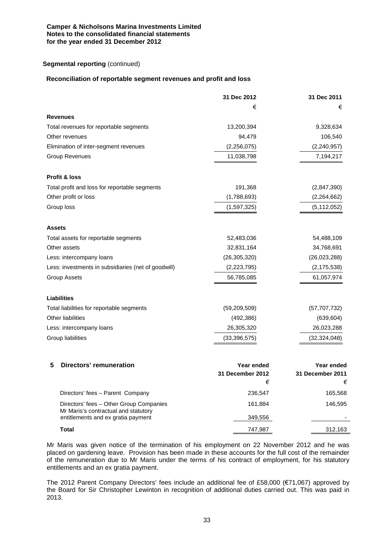# **Segmental reporting** (continued)

#### **Reconciliation of reportable segment revenues and profit and loss**

|                                                     | 31 Dec 2012                           | 31 Dec 2011                    |
|-----------------------------------------------------|---------------------------------------|--------------------------------|
|                                                     | €                                     | €                              |
| <b>Revenues</b>                                     |                                       |                                |
| Total revenues for reportable segments              | 13,200,394                            | 9,328,634                      |
| Other revenues                                      | 94,479                                | 106,540                        |
| Elimination of inter-segment revenues               | (2,256,075)                           | (2, 240, 957)                  |
| <b>Group Revenues</b>                               | 11,038,798                            | 7,194,217                      |
| Profit & loss                                       |                                       |                                |
| Total profit and loss for reportable segments       | 191,368                               | (2,847,390)                    |
| Other profit or loss                                | (1,788,693)                           | (2,264,662)                    |
| Group loss                                          | (1,597,325)                           | (5, 112, 052)                  |
| <b>Assets</b>                                       |                                       |                                |
| Total assets for reportable segments                | 52,483,036                            | 54,488,109                     |
| Other assets                                        | 32,831,164                            | 34,768,691                     |
| Less: intercompany loans                            | (26, 305, 320)                        | (26,023,288)                   |
| Less: investments in subsidiaries (net of goodwill) | (2, 223, 795)                         | (2, 175, 538)                  |
| <b>Group Assets</b>                                 | 56,785,085                            | 61,057,974                     |
| <b>Liabilities</b>                                  |                                       |                                |
| Total liabilities for reportable segments           | (59, 209, 509)                        | (57, 707, 732)                 |
| Other liabilities                                   | (492, 386)                            | (639, 604)                     |
| Less: intercompany loans                            | 26,305,320                            | 26,023,288                     |
| Group liabilities                                   | (33, 396, 575)                        | (32, 324, 048)                 |
| <b>Directors' remuneration</b><br>5                 |                                       |                                |
|                                                     | Year ended<br><b>31 December 2012</b> | Year ended<br>31 December 2011 |
|                                                     | €                                     | €                              |
| Directors' fees - Parent Company                    | 236,547                               | 165,568                        |

Directors' fees – Other Group Companies 161,884 161,884 146,595 Mr Maris's contractual and statutory entitlements and ex gratia payment **349,556** -**Total** 747,987 312,163

Mr Maris was given notice of the termination of his employment on 22 November 2012 and he was placed on gardening leave. Provision has been made in these accounts for the full cost of the remainder of the remuneration due to Mr Maris under the terms of his contract of employment, for his statutory entitlements and an ex gratia payment.

The 2012 Parent Company Directors' fees include an additional fee of £58,000 (€71,067) approved by the Board for Sir Christopher Lewinton in recognition of additional duties carried out. This was paid in 2013.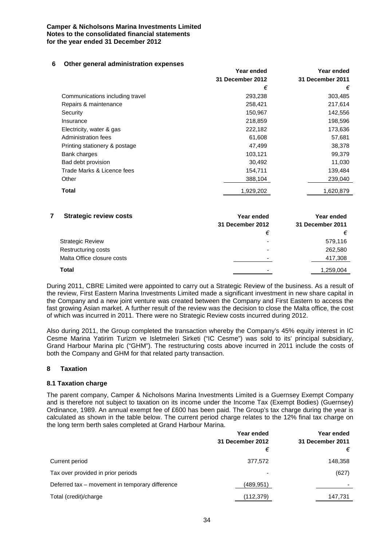#### **6 Other general administration expenses**

|                                 | Year ended       | Year ended       |
|---------------------------------|------------------|------------------|
|                                 | 31 December 2012 | 31 December 2011 |
|                                 | €                | €                |
| Communications including travel | 293,238          | 303,485          |
| Repairs & maintenance           | 258,421          | 217,614          |
| Security                        | 150,967          | 142,556          |
| Insurance                       | 218,859          | 198,596          |
| Electricity, water & gas        | 222,182          | 173,636          |
| Administration fees             | 61,608           | 57,681           |
| Printing stationery & postage   | 47,499           | 38,378           |
| Bank charges                    | 103,121          | 99,379           |
| Bad debt provision              | 30,492           | 11,030           |
| Trade Marks & Licence fees      | 154,711          | 139,484          |
| Other                           | 388,104          | 239,040          |
| <b>Total</b>                    | 1,929,202        | 1,620,879        |
|                                 |                  |                  |

| <b>Strategic review costs</b> | Year ended               | Year ended       |
|-------------------------------|--------------------------|------------------|
|                               | 31 December 2012         | 31 December 2011 |
|                               | €                        | €                |
| <b>Strategic Review</b>       |                          | 579,116          |
| Restructuring costs           | -                        | 262,580          |
| Malta Office closure costs    | ٠                        | 417,308          |
| Total                         | $\overline{\phantom{0}}$ | 1,259,004        |

During 2011, CBRE Limited were appointed to carry out a Strategic Review of the business. As a result of the review, First Eastern Marina Investments Limited made a significant investment in new share capital in the Company and a new joint venture was created between the Company and First Eastern to access the fast growing Asian market. A further result of the review was the decision to close the Malta office, the cost of which was incurred in 2011. There were no Strategic Review costs incurred during 2012.

Also during 2011, the Group completed the transaction whereby the Company's 45% equity interest in IC Cesme Marina Yatirim Turizm ve Isletmeleri Sirketi ("IC Cesme") was sold to its' principal subsidiary, Grand Harbour Marina plc ("GHM"). The restructuring costs above incurred in 2011 include the costs of both the Company and GHM for that related party transaction.

# **8 Taxation**

# **8.1 Taxation charge**

The parent company, Camper & Nicholsons Marina Investments Limited is a Guernsey Exempt Company and is therefore not subject to taxation on its income under the Income Tax (Exempt Bodies) (Guernsey) Ordinance, 1989. An annual exempt fee of £600 has been paid. The Group's tax charge during the year is calculated as shown in the table below. The current period charge relates to the 12% final tax charge on the long term berth sales completed at Grand Harbour Marina.

|                                                 | Year ended       | Year ended       |
|-------------------------------------------------|------------------|------------------|
|                                                 | 31 December 2012 | 31 December 2011 |
|                                                 | €                | €                |
| Current period                                  | 377,572          | 148,358          |
| Tax over provided in prior periods              |                  | (627)            |
| Deferred tax – movement in temporary difference | (489, 951)       | -                |
| Total (credit)/charge                           | (112,379)        | 147,731          |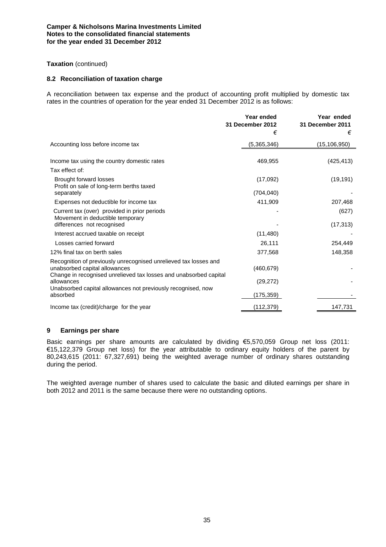# **Taxation** (continued)

#### **8.2 Reconciliation of taxation charge**

A reconciliation between tax expense and the product of accounting profit multiplied by domestic tax rates in the countries of operation for the year ended 31 December 2012 is as follows:

|                                                                                                                                                 | Year ended<br>31 December 2012 | Year ended<br><b>31 December 2011</b> |
|-------------------------------------------------------------------------------------------------------------------------------------------------|--------------------------------|---------------------------------------|
|                                                                                                                                                 | €                              | €                                     |
| Accounting loss before income tax                                                                                                               | (5,365,346)                    | (15, 106, 950)                        |
| Income tax using the country domestic rates                                                                                                     | 469,955                        | (425, 413)                            |
| Tax effect of:                                                                                                                                  |                                |                                       |
| <b>Brought forward losses</b><br>Profit on sale of long-term berths taxed                                                                       | (17,092)                       | (19, 191)                             |
| separately                                                                                                                                      | (704, 040)                     |                                       |
| Expenses not deductible for income tax                                                                                                          | 411,909                        | 207,468                               |
| Current tax (over) provided in prior periods<br>Movement in deductible temporary                                                                |                                | (627)                                 |
| differences not recognised                                                                                                                      |                                | (17, 313)                             |
| Interest accrued taxable on receipt                                                                                                             | (11, 480)                      |                                       |
| Losses carried forward                                                                                                                          | 26,111                         | 254,449                               |
| 12% final tax on berth sales                                                                                                                    | 377,568                        | 148,358                               |
| Recognition of previously unrecognised unrelieved tax losses and<br>unabsorbed capital allowances                                               | (460, 679)                     |                                       |
| Change in recognised unrelieved tax losses and unabsorbed capital<br>allowances<br>Unabsorbed capital allowances not previously recognised, now | (29, 272)                      |                                       |
| absorbed                                                                                                                                        | (175, 359)                     |                                       |
| Income tax (credit)/charge for the year                                                                                                         | (112, 379)                     | 147,731                               |

# **9 Earnings per share**

Basic earnings per share amounts are calculated by dividing €5,570,059 Group net loss (2011: €15,122,379 Group net loss) for the year attributable to ordinary equity holders of the parent by 80,243,615 (2011: 67,327,691) being the weighted average number of ordinary shares outstanding during the period.

The weighted average number of shares used to calculate the basic and diluted earnings per share in both 2012 and 2011 is the same because there were no outstanding options.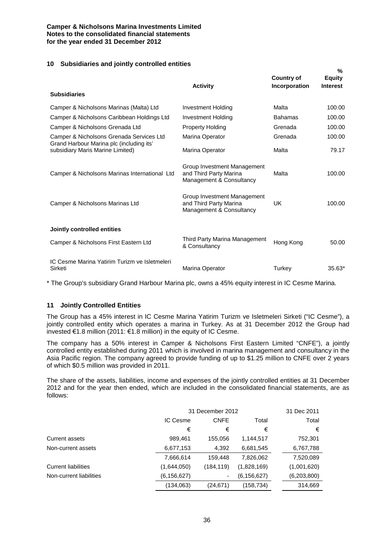# **10 Subsidiaries and jointly controlled entities**

| <b>Subsidiaries</b>                                                          | <b>Activity</b>                                                                   | <b>Country of</b><br>Incorporation | 70<br><b>Equity</b><br><b>Interest</b> |
|------------------------------------------------------------------------------|-----------------------------------------------------------------------------------|------------------------------------|----------------------------------------|
| Camper & Nicholsons Marinas (Malta) Ltd                                      | Investment Holding                                                                | Malta                              | 100.00                                 |
| Camper & Nicholsons Caribbean Holdings Ltd                                   | Investment Holding                                                                | <b>Bahamas</b>                     | 100.00                                 |
| Camper & Nicholsons Grenada Ltd                                              | Property Holding                                                                  | Grenada                            | 100.00                                 |
| Camper & Nicholsons Grenada Services Ltd                                     | Marina Operator                                                                   | Grenada                            | 100.00                                 |
| Grand Harbour Marina plc (including its'<br>subsidiary Maris Marine Limited) | Marina Operator                                                                   | Malta                              | 79.17                                  |
| Camper & Nicholsons Marinas International Ltd                                | Group Investment Management<br>and Third Party Marina<br>Management & Consultancy | Malta                              | 100.00                                 |
| Camper & Nicholsons Marinas Ltd                                              | Group Investment Management<br>and Third Party Marina<br>Management & Consultancy | UK                                 | 100.00                                 |
| Jointly controlled entities                                                  |                                                                                   |                                    |                                        |
| Camper & Nicholsons First Eastern Ltd                                        | Third Party Marina Management<br>& Consultancy                                    | Hong Kong                          | 50.00                                  |
| IC Cesme Marina Yatirim Turizm ve Isletmeleri<br>Sirketi                     | Marina Operator                                                                   | Turkey                             | 35.63*                                 |

**%**

\* The Group's subsidiary Grand Harbour Marina plc, owns a 45% equity interest in IC Cesme Marina.

# **11 Jointly Controlled Entities**

The Group has a 45% interest in IC Cesme Marina Yatirim Turizm ve Isletmeleri Sirketi ("IC Cesme"), a jointly controlled entity which operates a marina in Turkey. As at 31 December 2012 the Group had invested €1.8 million (2011: €1.8 million) in the equity of IC Cesme.

The company has a 50% interest in Camper & Nicholsons First Eastern Limited "CNFE"), a jointly controlled entity established during 2011 which is involved in marina management and consultancy in the Asia Pacific region. The company agreed to provide funding of up to \$1.25 million to CNFE over 2 years of which \$0.5 million was provided in 2011.

The share of the assets, liabilities, income and expenses of the jointly controlled entities at 31 December 2012 and for the year then ended, which are included in the consolidated financial statements, are as follows:

|                            | 31 December 2012 | 31 Dec 2011 |               |             |
|----------------------------|------------------|-------------|---------------|-------------|
|                            | IC Cesme         | <b>CNFE</b> | Total         | Total       |
|                            | €                | €           | €             | €           |
| <b>Current assets</b>      | 989,461          | 155,056     | 1,144,517     | 752,301     |
| Non-current assets         | 6,677,153        | 4,392       | 6,681,545     | 6,767,788   |
|                            | 7,666,614        | 159,448     | 7,826,062     | 7,520,089   |
| <b>Current liabilities</b> | (1,644,050)      | (184, 119)  | (1,828,169)   | (1,001,620) |
| Non-current liabilities    | (6, 156, 627)    |             | (6, 156, 627) | (6,203,800) |
|                            | (134,063)        | (24, 671)   | (158, 734)    | 314.669     |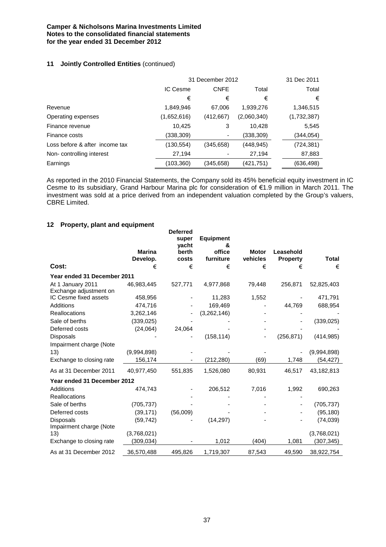# **11 Jointly Controlled Entities (continued)**

|                                | 31 December 2012 | 31 Dec 2011 |             |             |
|--------------------------------|------------------|-------------|-------------|-------------|
|                                | IC Cesme         | <b>CNFE</b> | Total       | Total       |
|                                | €                | €           | €           | €           |
| Revenue                        | 1,849,946        | 67.006      | 1,939,276   | 1,346,515   |
| Operating expenses             | (1,652,616)      | (412, 667)  | (2,060,340) | (1,732,387) |
| Finance revenue                | 10,425           | 3           | 10,428      | 5,545       |
| Finance costs                  | (338,309)        | ۰           | (338,309)   | (344,054)   |
| Loss before & after income tax | (130, 554)       | (345,658)   | (448,945)   | (724,381)   |
| Non-controlling interest       | 27,194           |             | 27,194      | 87,883      |
| Earnings                       | (103,360)        | (345,658)   | (421,751)   | (636,498)   |

As reported in the 2010 Financial Statements, the Company sold its 45% beneficial equity investment in IC Cesme to its subsidiary, Grand Harbour Marina plc for consideration of €1.9 million in March 2011. The investment was sold at a price derived from an independent valuation completed by the Group's valuers, CBRE Limited.

# **12 Property, plant and equipment**

|                                             |                           | <b>Deferred</b><br>super<br>vacht | <b>Equipment</b><br>& |                          |                              |             |
|---------------------------------------------|---------------------------|-----------------------------------|-----------------------|--------------------------|------------------------------|-------------|
|                                             | <b>Marina</b><br>Develop. | berth<br>costs                    | office<br>furniture   | <b>Motor</b><br>vehicles | Leasehold<br><b>Property</b> | Total       |
| Cost:                                       | €                         | €                                 | €                     | €                        | €                            | €           |
| Year ended 31 December 2011                 |                           |                                   |                       |                          |                              |             |
| At 1 January 2011<br>Exchange adjustment on | 46,983,445                | 527,771                           | 4,977,868             | 79,448                   | 256,871                      | 52,825,403  |
| IC Cesme fixed assets                       | 458,956                   |                                   | 11,283                | 1,552                    |                              | 471,791     |
| Additions                                   | 474,716                   |                                   | 169,469               |                          | 44,769                       | 688,954     |
| <b>Reallocations</b>                        | 3,262,146                 |                                   | (3,262,146)           |                          |                              |             |
| Sale of berths                              | (339, 025)                |                                   |                       |                          |                              | (339, 025)  |
| Deferred costs                              | (24,064)                  | 24,064                            |                       |                          |                              |             |
| <b>Disposals</b><br>Impairment charge (Note |                           |                                   | (158, 114)            |                          | (256, 871)                   | (414, 985)  |
| 13)                                         | (9,994,898)               |                                   |                       |                          |                              | (9,994,898) |
| Exchange to closing rate                    | 156,174                   |                                   | (212,280)             | (69)                     | 1,748                        | (54, 427)   |
| As at 31 December 2011                      | 40,977,450                | 551,835                           | 1,526,080             | 80,931                   | 46,517                       | 43,182,813  |
| Year ended 31 December 2012                 |                           |                                   |                       |                          |                              |             |
| <b>Additions</b>                            | 474,743                   |                                   | 206,512               | 7,016                    | 1,992                        | 690,263     |
| <b>Reallocations</b>                        |                           |                                   |                       |                          |                              |             |
| Sale of berths                              | (705, 737)                |                                   |                       |                          |                              | (705, 737)  |
| Deferred costs                              | (39, 171)                 | (56,009)                          |                       |                          |                              | (95, 180)   |
| <b>Disposals</b><br>Impairment charge (Note | (59, 742)                 |                                   | (14, 297)             |                          |                              | (74, 039)   |
| 13)                                         | (3,768,021)               |                                   |                       |                          |                              | (3,768,021) |
| Exchange to closing rate                    | (309, 034)                |                                   | 1,012                 | (404)                    | 1,081                        | (307,345)   |
| As at 31 December 2012                      | 36,570,488                | 495,826                           | 1,719,307             | 87,543                   | 49,590                       | 38,922,754  |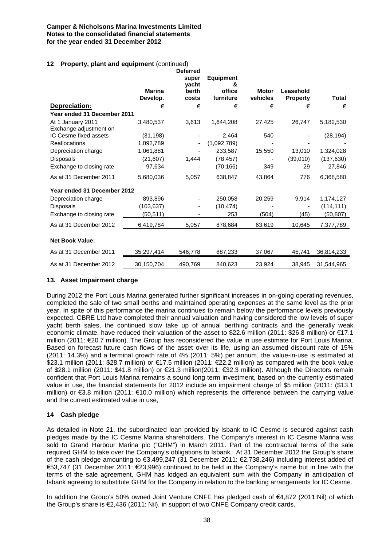# **12 Property, plant and equipment** (continued)

|                                             | <b>Marina</b><br>Develop. | <b>Deferred</b><br>super<br>vacht<br>berth<br>costs | <b>Equipment</b><br>&<br>office<br>furniture | <b>Motor</b><br>vehicles | Leasehold<br><b>Property</b> | Total      |
|---------------------------------------------|---------------------------|-----------------------------------------------------|----------------------------------------------|--------------------------|------------------------------|------------|
| Depreciation:                               | €                         | €                                                   | €                                            | €                        | €                            | €          |
| Year ended 31 December 2011                 |                           |                                                     |                                              |                          |                              |            |
| At 1 January 2011<br>Exchange adjustment on | 3,480,537                 | 3,613                                               | 1,644,208                                    | 27,425                   | 26,747                       | 5,182,530  |
| IC Cesme fixed assets                       | (31, 198)                 |                                                     | 2,464                                        | 540                      |                              | (28, 194)  |
| <b>Reallocations</b>                        | 1,092,789                 |                                                     | (1,092,789)                                  |                          |                              |            |
| Depreciation charge                         | 1,061,881                 |                                                     | 233,587                                      | 15,550                   | 13,010                       | 1,324,028  |
| Disposals                                   | (21, 607)                 | 1,444                                               | (78, 457)                                    |                          | (39,010)                     | (137, 630) |
| Exchange to closing rate                    | 97,634                    |                                                     | (70, 166)                                    | 349                      | 29                           | 27,846     |
| As at 31 December 2011                      | 5,680,036                 | 5,057                                               | 638,847                                      | 43,864                   | 776                          | 6,368,580  |
| Year ended 31 December 2012                 |                           |                                                     |                                              |                          |                              |            |
| Depreciation charge                         | 893,896                   |                                                     | 250,058                                      | 20,259                   | 9,914                        | 1,174,127  |
| Disposals                                   | (103, 637)                |                                                     | (10, 474)                                    |                          |                              | (114, 111) |
| Exchange to closing rate                    | (50,511)                  |                                                     | 253                                          | (504)                    | (45)                         | (50,807)   |
| As at 31 December 2012                      | 6,419,784                 | 5,057                                               | 878,684                                      | 63,619                   | 10,645                       | 7,377,789  |
| <b>Net Book Value:</b>                      |                           |                                                     |                                              |                          |                              |            |
| As at 31 December 2011                      | 35,297,414                | 546,778                                             | 887,233                                      | 37,067                   | 45,741                       | 36,814,233 |
| As at 31 December 2012                      | 30,150,704                | 490,769                                             | 840,623                                      | 23,924                   | 38,945                       | 31.544.965 |

# **13. Asset Impairment charge**

During 2012 the Port Louis Marina generated further significant increases in on-going operating revenues, completed the sale of two small berths and maintained operating expenses at the same level as the prior year. In spite of this performance the marina continues to remain below the performance levels previously expected. CBRE Ltd have completed their annual valuation and having considered the low levels of super yacht berth sales, the continued slow take up of annual berthing contracts and the generally weak economic climate, have reduced their valuation of the asset to \$22.6 million (2011: \$26.8 million) or €17.1 million (2011: €20.7 million). The Group has reconsidered the value in use estimate for Port Louis Marina. Based on forecast future cash flows of the asset over its life, using an assumed discount rate of 15% (2011: 14.3%) and a terminal growth rate of 4% (2011: 5%) per annum, the value-in-use is estimated at \$23.1 million (2011: \$28.7 million) or €17.5 million (2011: €22.2 million) as compared with the book value of \$28.1 million (2011: \$41.8 million) or €21.3 million(2011: €32.3 million). Although the Directors remain confident that Port Louis Marina remains a sound long term investment, based on the currently estimated value in use, the financial statements for 2012 include an impairment charge of \$5 million (2011: (\$13.1 million) or €3.8 million (2011: €10.0 million) which represents the difference between the carrying value and the current estimated value in use,

# **14 Cash pledge**

As detailed in Note 21, the subordinated loan provided by Isbank to IC Cesme is secured against cash pledges made by the IC Cesme Marina shareholders. The Company's interest in IC Cesme Marina was sold to Grand Harbour Marina plc ("GHM") in March 2011. Part of the contractual terms of the sale required GHM to take over the Company's obligations to Isbank. At 31 December 2012 the Group's share of the cash pledge amounting to €3,499,247 (31 December 2011: €2,738,246) including interest added of €53,747 (31 December 2011: €23,996) continued to be held in the Company's name but in line with the terms of the sale agreement, GHM has lodged an equivalent sum with the Company in anticipation of Isbank agreeing to substitute GHM for the Company in relation to the banking arrangements for IC Cesme.

In addition the Group's 50% owned Joint Venture CNFE has pledged cash of €4,872 (2011:Nil) of which the Group's share is €2,436 (2011: Nil), in support of two CNFE Company credit cards.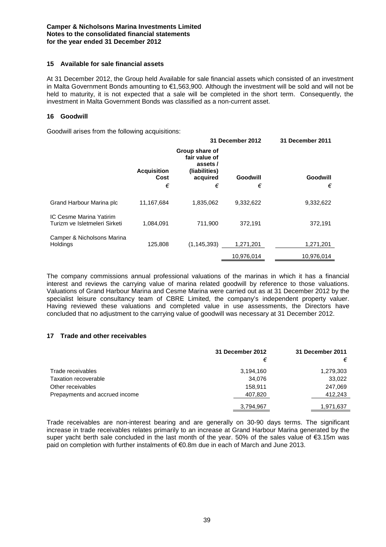# **15 Available for sale financial assets**

At 31 December 2012, the Group held Available for sale financial assets which consisted of an investment in Malta Government Bonds amounting to €1,563,900. Although the investment will be sold and will not be held to maturity, it is not expected that a sale will be completed in the short term. Consequently, the investment in Malta Government Bonds was classified as a non-current asset.

#### **16 Goodwill**

Goodwill arises from the following acquisitions:

|                                                                 |                    | 31 December 2012                                            |            | 31 December 2011 |  |
|-----------------------------------------------------------------|--------------------|-------------------------------------------------------------|------------|------------------|--|
|                                                                 | <b>Acquisition</b> | Group share of<br>fair value of<br>assets/<br>(liabilities) |            |                  |  |
|                                                                 | Cost               | acquired                                                    | Goodwill   | Goodwill         |  |
|                                                                 | €                  | €                                                           | €          | €                |  |
| Grand Harbour Marina plc                                        | 11,167,684         | 1,835,062                                                   | 9,332,622  | 9,332,622        |  |
| <b>IC Cesme Marina Yatirim</b><br>Turizm ve Isletmeleri Sirketi | 1,084,091          | 711.900                                                     | 372.191    | 372,191          |  |
| Camper & Nicholsons Marina<br><b>Holdings</b>                   | 125,808            | (1, 145, 393)                                               | 1,271,201  | 1,271,201        |  |
|                                                                 |                    |                                                             | 10.976.014 | 10.976.014       |  |

The company commissions annual professional valuations of the marinas in which it has a financial interest and reviews the carrying value of marina related goodwill by reference to those valuations. Valuations of Grand Harbour Marina and Cesme Marina were carried out as at 31 December 2012 by the specialist leisure consultancy team of CBRE Limited, the company's independent property valuer. Having reviewed these valuations and completed value in use assessments, the Directors have concluded that no adjustment to the carrying value of goodwill was necessary at 31 December 2012.

# **17 Trade and other receivables**

|                                | 31 December 2012 | 31 December 2011 |
|--------------------------------|------------------|------------------|
|                                | €                | €                |
| Trade receivables              | 3,194,160        | 1,279,303        |
| Taxation recoverable           | 34,076           | 33,022           |
| Other receivables              | 158.911          | 247,069          |
| Prepayments and accrued income | 407,820          | 412,243          |
|                                | 3,794,967        | 1,971,637        |

Trade receivables are non-interest bearing and are generally on 30-90 days terms. The significant increase in trade receivables relates primarily to an increase at Grand Harbour Marina generated by the super yacht berth sale concluded in the last month of the year. 50% of the sales value of €3.15m was paid on completion with further instalments of €0.8m due in each of March and June 2013.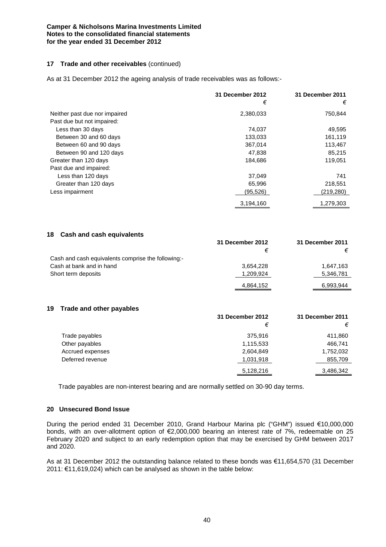#### **17 Trade and other receivables** (continued)

As at 31 December 2012 the ageing analysis of trade receivables was as follows:-

|                               | 31 December 2012<br>€ | 31 December 2011<br>€ |
|-------------------------------|-----------------------|-----------------------|
| Neither past due nor impaired | 2,380,033             | 750,844               |
| Past due but not impaired:    |                       |                       |
| Less than 30 days             | 74,037                | 49,595                |
| Between 30 and 60 days        | 133,033               | 161,119               |
| Between 60 and 90 days        | 367,014               | 113,467               |
| Between 90 and 120 days       | 47,838                | 85,215                |
| Greater than 120 days         | 184,686               | 119,051               |
| Past due and impaired:        |                       |                       |
| Less than 120 days            | 37,049                | 741                   |
| Greater than 120 days         | 65,996                | 218,551               |
| Less impairment               | (95,526)              | (219,280)             |
|                               | 3,194,160             | 1,279,303             |

# **18 Cash and cash equivalents**

|                                                    | 31 December 2012 | 31 December 2011 |
|----------------------------------------------------|------------------|------------------|
|                                                    |                  | €                |
| Cash and cash equivalents comprise the following:- |                  |                  |
| Cash at bank and in hand                           | 3.654.228        | 1.647.163        |
| Short term deposits                                | 1,209,924        | 5,346,781        |
|                                                    | 4,864,152        | 6,993,944        |

# **19 Trade and other payables**

|                  | <b>UI DUUUIIIDUI LUIL</b> | 9 I PCCCINCI LUI I |
|------------------|---------------------------|--------------------|
|                  | €                         | €                  |
| Trade payables   | 375,916                   | 411,860            |
| Other payables   | 1,115,533                 | 466,741            |
| Accrued expenses | 2,604,849                 | 1,752,032          |
| Deferred revenue | 1,031,918                 | 855,709            |
|                  | 5,128,216                 | 3,486,342          |

**31 December 2012 31 December 2011**

Trade payables are non-interest bearing and are normally settled on 30-90 day terms.

#### **20 Unsecured Bond Issue**

During the period ended 31 December 2010, Grand Harbour Marina plc ("GHM") issued €10,000,000 bonds, with an over-allotment option of €2,000,000 bearing an interest rate of 7%, redeemable on 25 February 2020 and subject to an early redemption option that may be exercised by GHM between 2017 and 2020.

As at 31 December 2012 the outstanding balance related to these bonds was €11,654,570 (31 December 2011: €11,619,024) which can be analysed as shown in the table below: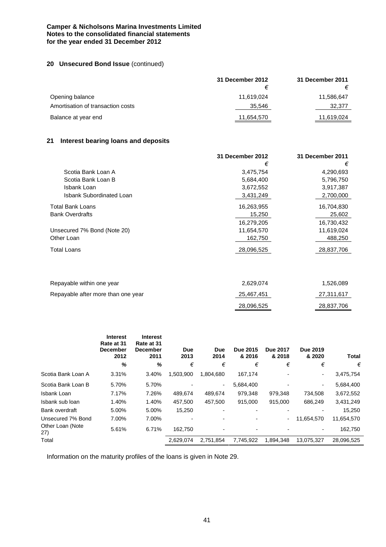# **20 Unsecured Bond Issue** (continued)

|                                   | 31 December 2012 | 31 December 2011 |
|-----------------------------------|------------------|------------------|
|                                   |                  |                  |
| Opening balance                   | 11,619,024       | 11,586,647       |
| Amortisation of transaction costs | 35.546           | 32,377           |
| Balance at year end               | 11,654,570       | 11,619,024       |

# **21 Interest bearing loans and deposits**

|                             | 31 December 2012 | 31 December 2011 |
|-----------------------------|------------------|------------------|
|                             | €                | €                |
| Scotia Bank Loan A          | 3,475,754        | 4,290,693        |
| Scotia Bank Loan B          | 5,684,400        | 5,796,750        |
| Isbank Loan                 | 3,672,552        | 3,917,387        |
| Isbank Subordinated Loan    | 3,431,249        | 2,700,000        |
| <b>Total Bank Loans</b>     | 16,263,955       | 16,704,830       |
| <b>Bank Overdrafts</b>      | 15,250           | 25,602           |
|                             | 16,279,205       | 16,730,432       |
| Unsecured 7% Bond (Note 20) | 11,654,570       | 11,619,024       |
| Other Loan                  | 162.750          | 488,250          |
| <b>Total Loans</b>          | 28,096,525       | 28,837,706       |

| Repayable within one year          | 2.629.074  | 1,526,089  |
|------------------------------------|------------|------------|
| Repayable after more than one year | 25,467,451 | 27,311,617 |
|                                    | 28,096,525 | 28,837,706 |

|                         | <b>Interest</b><br>Rate at 31<br><b>December</b><br>2012<br>% | <b>Interest</b><br>Rate at 31<br><b>December</b><br>2011<br>% | <b>Due</b><br>2013<br>€ | Due<br>2014<br>€         | Due 2015<br>& 2016<br>€ | <b>Due 2017</b><br>& 2018<br>€ | Due 2019<br>& 2020<br>€ | <b>Total</b><br>€ |
|-------------------------|---------------------------------------------------------------|---------------------------------------------------------------|-------------------------|--------------------------|-------------------------|--------------------------------|-------------------------|-------------------|
| Scotia Bank Loan A      | 3.31%                                                         | 3.40%                                                         | 1,503,900               | 1,804,680                | 167,174                 |                                |                         | 3,475,754         |
| Scotia Bank Loan B      | 5.70%                                                         | 5.70%                                                         |                         | $\overline{\phantom{a}}$ | 5,684,400               |                                | $\blacksquare$          | 5,684,400         |
| Isbank Loan             | 7.17%                                                         | 7.26%                                                         | 489,674                 | 489,674                  | 979,348                 | 979,348                        | 734,508                 | 3,672,552         |
| Isbank sub loan         | 1.40%                                                         | 1.40%                                                         | 457,500                 | 457,500                  | 915,000                 | 915,000                        | 686,249                 | 3,431,249         |
| Bank overdraft          | 5.00%                                                         | 5.00%                                                         | 15,250                  | $\blacksquare$           |                         | $\overline{\phantom{0}}$       |                         | 15,250            |
| Unsecured 7% Bond       | 7.00%                                                         | 7.00%                                                         |                         |                          |                         | ۰.                             | 11,654,570              | 11,654,570        |
| Other Loan (Note<br>27) | 5.61%                                                         | 6.71%                                                         | 162,750                 |                          |                         |                                |                         | 162,750           |
| Total                   |                                                               |                                                               | 2,629,074               | 2,751,854                | 7,745,922               | 1,894,348                      | 13,075,327              | 28,096,525        |
|                         |                                                               |                                                               |                         |                          |                         |                                |                         |                   |

Information on the maturity profiles of the loans is given in Note 29.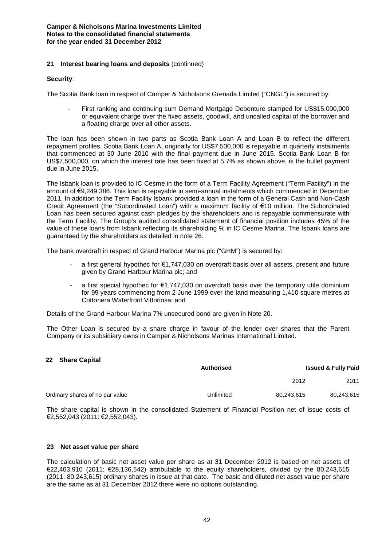# **21 Interest bearing loans and deposits** (continued)

#### **Security**:

The Scotia Bank loan in respect of Camper & Nicholsons Grenada Limited ("CNGL") is secured by:

First ranking and continuing sum Demand Mortgage Debenture stamped for US\$15,000,000 or equivalent charge over the fixed assets, goodwill, and uncalled capital of the borrower and a floating charge over all other assets.

The loan has been shown in two parts as Scotia Bank Loan A and Loan B to reflect the different repayment profiles. Scotia Bank Loan A, originally for US\$7,500,000 is repayable in quarterly instalments that commenced at 30 June 2010 with the final payment due in June 2015. Scotia Bank Loan B for US\$7,500,000, on which the interest rate has been fixed at 5.7% as shown above, is the bullet payment due in June 2015.

The Isbank loan is provided to IC Cesme in the form of a Term Facility Agreement ("Term Facility") in the amount of €9,249,386. This loan is repayable in semi-annual instalments which commenced in December 2011. In addition to the Term Facility Isbank provided a loan in the form of a General Cash and Non-Cash Credit Agreement (the "Subordinated Loan") with a maximum facility of €10 million. The Subordinated Loan has been secured against cash pledges by the shareholders and is repayable commensurate with the Term Facility. The Group's audited consolidated statement of financial position includes 45% of the value of these loans from Isbank reflecting its shareholding % in IC Cesme Marina. The Isbank loans are guaranteed by the shareholders as detailed in note 26.

The bank overdraft in respect of Grand Harbour Marina plc ("GHM") is secured by:

- a first general hypothec for €1,747,030 on overdraft basis over all assets, present and future given by Grand Harbour Marina plc; and
- a first special hypothec for  $\epsilon$ 1,747,030 on overdraft basis over the temporary utile dominium for 99 years commencing from 2 June 1999 over the land measuring 1,410 square metres at Cottonera Waterfront Vittoriosa; and

Details of the Grand Harbour Marina 7% unsecured bond are given in Note 20.

The Other Loan is secured by a share charge in favour of the lender over shares that the Parent Company or its subsidiary owns in Camper & Nicholsons Marinas International Limited.

### **22 Share Capital**

|                                 | <b>Authorised</b> | <b>Issued &amp; Fully Paid</b> |            |
|---------------------------------|-------------------|--------------------------------|------------|
|                                 |                   | 2012                           | 2011       |
| Ordinary shares of no par value | Unlimited         | 80.243.615                     | 80,243,615 |

The share capital is shown in the consolidated Statement of Financial Position net of issue costs of €2,552,043 (2011: €2,552,043).

#### **23 Net asset value per share**

The calculation of basic net asset value per share as at 31 December 2012 is based on net assets of €22,463,910 (2011: €28,136,542) attributable to the equity shareholders, divided by the 80,243,615 (2011: 80,243,615) ordinary shares in issue at that date. The basic and diluted net asset value per share are the same as at 31 December 2012 there were no options outstanding.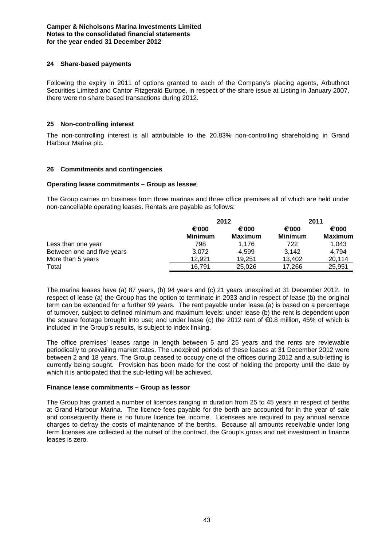# **24 Share-based payments**

Following the expiry in 2011 of options granted to each of the Company's placing agents, Arbuthnot Securities Limited and Cantor Fitzgerald Europe, in respect of the share issue at Listing in January 2007, there were no share based transactions during 2012.

# **25 Non-controlling interest**

The non-controlling interest is all attributable to the 20.83% non-controlling shareholding in Grand Harbour Marina plc.

# **26 Commitments and contingencies**

#### **Operating lease commitments – Group as lessee**

The Group carries on business from three marinas and three office premises all of which are held under non-cancellable operating leases. Rentals are payable as follows:

|                            |                         | 2012             |                         | 2011                    |
|----------------------------|-------------------------|------------------|-------------------------|-------------------------|
|                            | €'000<br><b>Minimum</b> | €'000<br>Maximum | €'000<br><b>Minimum</b> | €'000<br><b>Maximum</b> |
| Less than one year         | 798                     | 1.176            | 722                     | 1,043                   |
| Between one and five years | 3,072                   | 4.599            | 3.142                   | 4.794                   |
| More than 5 years          | 12.921                  | 19.251           | 13.402                  | 20,114                  |
| Total                      | 16,791                  | 25.026           | 17.266                  | 25,951                  |

The marina leases have (a) 87 years, (b) 94 years and (c) 21 years unexpired at 31 December 2012. In respect of lease (a) the Group has the option to terminate in 2033 and in respect of lease (b) the original term can be extended for a further 99 years. The rent payable under lease (a) is based on a percentage of turnover, subject to defined minimum and maximum levels; under lease (b) the rent is dependent upon the square footage brought into use; and under lease (c) the 2012 rent of €0.8 million, 45% of which is included in the Group's results, is subject to index linking.

The office premises' leases range in length between 5 and 25 years and the rents are reviewable periodically to prevailing market rates. The unexpired periods of these leases at 31 December 2012 were between 2 and 18 years. The Group ceased to occupy one of the offices during 2012 and a sub-letting is currently being sought. Provision has been made for the cost of holding the property until the date by which it is anticipated that the sub-letting will be achieved.

#### **Finance lease commitments – Group as lessor**

The Group has granted a number of licences ranging in duration from 25 to 45 years in respect of berths at Grand Harbour Marina. The licence fees payable for the berth are accounted for in the year of sale and consequently there is no future licence fee income. Licensees are required to pay annual service charges to defray the costs of maintenance of the berths. Because all amounts receivable under long term licenses are collected at the outset of the contract, the Group's gross and net investment in finance leases is zero.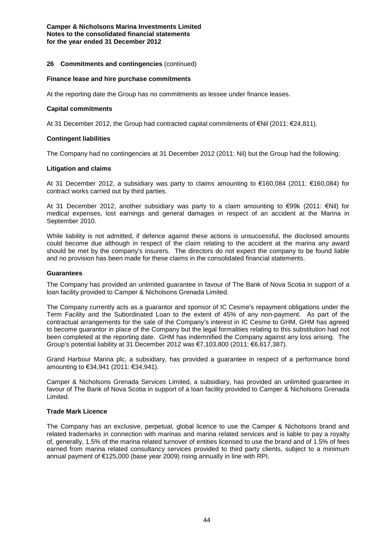# **26 Commitments and contingencies** (continued)

#### **Finance lease and hire purchase commitments**

At the reporting date the Group has no commitments as lessee under finance leases.

#### **Capital commitments**

At 31 December 2012, the Group had contracted capital commitments of €Nil (2011: €24,811).

### **Contingent liabilities**

The Company had no contingencies at 31 December 2012 (2011: Nil) but the Group had the following:

#### **Litigation and claims**

At 31 December 2012, a subsidiary was party to claims amounting to €160,084 (2011: €160,084) for contract works carried out by third parties.

At 31 December 2012, another subsidiary was party to a claim amounting to €99k (2011: €Nil) for medical expenses, lost earnings and general damages in respect of an accident at the Marina in September 2010.

While liability is not admitted, if defence against these actions is unsuccessful, the disclosed amounts could become due although in respect of the claim relating to the accident at the marina any award should be met by the company's insurers. The directors do not expect the company to be found liable and no provision has been made for these claims in the consolidated financial statements.

#### **Guarantees**

The Company has provided an unlimited guarantee in favour of The Bank of Nova Scotia in support of a loan facility provided to Camper & Nicholsons Grenada Limited.

The Company currently acts as a guarantor and sponsor of IC Cesme's repayment obligations under the Term Facility and the Subordinated Loan to the extent of 45% of any non-payment. As part of the contractual arrangements for the sale of the Company's interest in IC Cesme to GHM, GHM has agreed to become guarantor in place of the Company but the legal formalities relating to this substitution had not been completed at the reporting date. GHM has indemnified the Company against any loss arising. The Group's potential liability at 31 December 2012 was €7,103,800 (2011: €6,617,387).

Grand Harbour Marina plc, a subsidiary, has provided a guarantee in respect of a performance bond amounting to €34,941 (2011: €34,941).

Camper & Nicholsons Grenada Services Limited, a subsidiary, has provided an unlimited guarantee in favour of The Bank of Nova Scotia in support of a loan facility provided to Camper & Nicholsons Grenada Limited.

#### **Trade Mark Licence**

The Company has an exclusive, perpetual, global licence to use the Camper & Nicholsons brand and related trademarks in connection with marinas and marina related services and is liable to pay a royalty of, generally, 1.5% of the marina related turnover of entities licensed to use the brand and of 1.5% of fees earned from marina related consultancy services provided to third party clients, subject to a minimum annual payment of €125,000 (base year 2009) rising annually in line with RPI.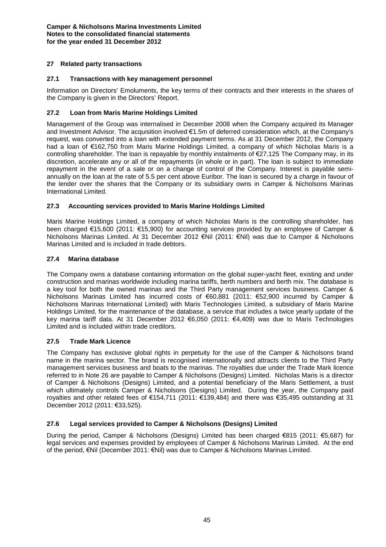# **27 Related party transactions**

# **27.1 Transactions with key management personnel**

Information on Directors' Emoluments, the key terms of their contracts and their interests in the shares of the Company is given in the Directors' Report.

# **27.2 Loan from Maris Marine Holdings Limited**

Management of the Group was internalised in December 2008 when the Company acquired its Manager and Investment Advisor. The acquisition involved €1.5m of deferred consideration which, at the Company's request, was converted into a loan with extended payment terms. As at 31 December 2012, the Company had a loan of €162,750 from Maris Marine Holdings Limited, a company of which Nicholas Maris is a controlling shareholder. The loan is repayable by monthly instalments of €27,125 The Company may, in its discretion, accelerate any or all of the repayments (in whole or in part). The loan is subject to immediate repayment in the event of a sale or on a change of control of the Company. Interest is payable semiannually on the loan at the rate of 5.5 per cent above Euribor. The loan is secured by a charge in favour of the lender over the shares that the Company or its subsidiary owns in Camper & Nicholsons Marinas International Limited.

# **27.3 Accounting services provided to Maris Marine Holdings Limited**

Maris Marine Holdings Limited, a company of which Nicholas Maris is the controlling shareholder, has been charged €15,600 (2011: €15,900) for accounting services provided by an employee of Camper & Nicholsons Marinas Limited. At 31 December 2012 €Nil (2011: €Nil) was due to Camper & Nicholsons Marinas Limited and is included in trade debtors.

# **27.4 Marina database**

The Company owns a database containing information on the global super-yacht fleet, existing and under construction and marinas worldwide including marina tariffs, berth numbers and berth mix. The database is a key tool for both the owned marinas and the Third Party management services business. Camper & Nicholsons Marinas Limited has incurred costs of €60,881 (2011: €52,900 incurred by Camper & Nicholsons Marinas International Limited) with Maris Technologies Limited, a subsidiary of Maris Marine Holdings Limited, for the maintenance of the database, a service that includes a twice yearly update of the key marina tariff data. At 31 December 2012 €6,050 (2011: €4,409) was due to Maris Technologies Limited and is included within trade creditors.

# **27.5 Trade Mark Licence**

The Company has exclusive global rights in perpetuity for the use of the Camper & Nicholsons brand name in the marina sector. The brand is recognised internationally and attracts clients to the Third Party management services business and boats to the marinas. The royalties due under the Trade Mark licence referred to in Note 26 are payable to Camper & Nicholsons (Designs) Limited. Nicholas Maris is a director of Camper & Nicholsons (Designs) Limited, and a potential beneficiary of the Maris Settlement, a trust which ultimately controls Camper & Nicholsons (Designs) Limited. During the year, the Company paid royalties and other related fees of €154,711 (2011: €139,484) and there was €35,495 outstanding at 31 December 2012 (2011: €33,525).

# **27.6 Legal services provided to Camper & Nicholsons (Designs) Limited**

During the period, Camper & Nicholsons (Designs) Limited has been charged €815 (2011: €5,687) for legal services and expenses provided by employees of Camper & Nicholsons Marinas Limited. At the end of the period, €Nil (December 2011: €Nil) was due to Camper & Nicholsons Marinas Limited.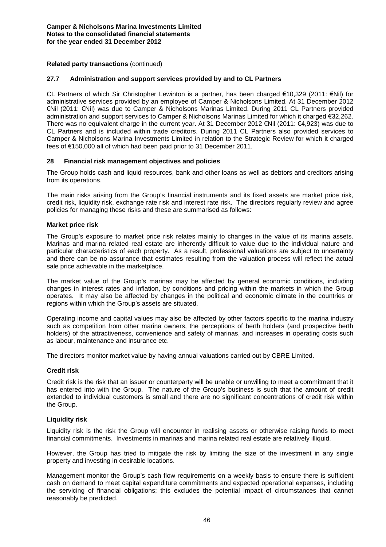# **Related party transactions** (continued)

#### **27.7 Administration and support services provided by and to CL Partners**

CL Partners of which Sir Christopher Lewinton is a partner, has been charged €10,329 (2011: €Nil) for administrative services provided by an employee of Camper & Nicholsons Limited. At 31 December 2012 €Nil (2011: €Nil) was due to Camper & Nicholsons Marinas Limited. During 2011 CL Partners provided administration and support services to Camper & Nicholsons Marinas Limited for which it charged €32,262. There was no equivalent charge in the current year. At 31 December 2012 €Nil (2011: €4,923) was due to CL Partners and is included within trade creditors. During 2011 CL Partners also provided services to Camper & Nicholsons Marina Investments Limited in relation to the Strategic Review for which it charged fees of €150,000 all of which had been paid prior to 31 December 2011.

#### **28 Financial risk management objectives and policies**

The Group holds cash and liquid resources, bank and other loans as well as debtors and creditors arising from its operations.

The main risks arising from the Group's financial instruments and its fixed assets are market price risk, credit risk, liquidity risk, exchange rate risk and interest rate risk. The directors regularly review and agree policies for managing these risks and these are summarised as follows:

# **Market price risk**

The Group's exposure to market price risk relates mainly to changes in the value of its marina assets. Marinas and marina related real estate are inherently difficult to value due to the individual nature and particular characteristics of each property. As a result, professional valuations are subject to uncertainty and there can be no assurance that estimates resulting from the valuation process will reflect the actual sale price achievable in the marketplace.

The market value of the Group's marinas may be affected by general economic conditions, including changes in interest rates and inflation, by conditions and pricing within the markets in which the Group operates. It may also be affected by changes in the political and economic climate in the countries or regions within which the Group's assets are situated.

Operating income and capital values may also be affected by other factors specific to the marina industry such as competition from other marina owners, the perceptions of berth holders (and prospective berth holders) of the attractiveness, convenience and safety of marinas, and increases in operating costs such as labour, maintenance and insurance etc.

The directors monitor market value by having annual valuations carried out by CBRE Limited.

#### **Credit risk**

Credit risk is the risk that an issuer or counterparty will be unable or unwilling to meet a commitment that it has entered into with the Group. The nature of the Group's business is such that the amount of credit extended to individual customers is small and there are no significant concentrations of credit risk within the Group.

#### **Liquidity risk**

Liquidity risk is the risk the Group will encounter in realising assets or otherwise raising funds to meet financial commitments. Investments in marinas and marina related real estate are relatively illiquid.

However, the Group has tried to mitigate the risk by limiting the size of the investment in any single property and investing in desirable locations.

Management monitor the Group's cash flow requirements on a weekly basis to ensure there is sufficient cash on demand to meet capital expenditure commitments and expected operational expenses, including the servicing of financial obligations; this excludes the potential impact of circumstances that cannot reasonably be predicted.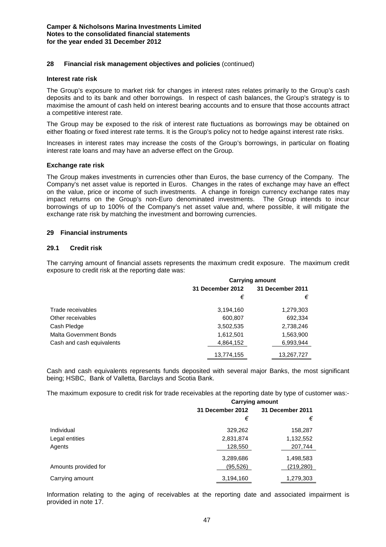#### **28 Financial risk management objectives and policies** (continued)

#### **Interest rate risk**

The Group's exposure to market risk for changes in interest rates relates primarily to the Group's cash deposits and to its bank and other borrowings. In respect of cash balances, the Group's strategy is to maximise the amount of cash held on interest bearing accounts and to ensure that those accounts attract a competitive interest rate.

The Group may be exposed to the risk of interest rate fluctuations as borrowings may be obtained on either floating or fixed interest rate terms. It is the Group's policy not to hedge against interest rate risks.

Increases in interest rates may increase the costs of the Group's borrowings, in particular on floating interest rate loans and may have an adverse effect on the Group.

#### **Exchange rate risk**

The Group makes investments in currencies other than Euros, the base currency of the Company. The Company's net asset value is reported in Euros. Changes in the rates of exchange may have an effect on the value, price or income of such investments. A change in foreign currency exchange rates may impact returns on the Group's non-Euro denominated investments. The Group intends to incur borrowings of up to 100% of the Company's net asset value and, where possible, it will mitigate the exchange rate risk by matching the investment and borrowing currencies.

#### **29 Financial instruments**

#### **29.1 Credit risk**

The carrying amount of financial assets represents the maximum credit exposure. The maximum credit exposure to credit risk at the reporting date was:

|                               | <b>Carrying amount</b> |                         |  |  |
|-------------------------------|------------------------|-------------------------|--|--|
|                               | 31 December 2012       | <b>31 December 2011</b> |  |  |
|                               | €                      | €                       |  |  |
| Trade receivables             | 3,194,160              | 1,279,303               |  |  |
| Other receivables             | 600,807                | 692,334                 |  |  |
| Cash Pledge                   | 3,502,535              | 2,738,246               |  |  |
| <b>Malta Government Bonds</b> | 1,612,501              | 1,563,900               |  |  |
| Cash and cash equivalents     | 4,864,152              | 6,993,944               |  |  |
|                               | 13,774,155             | 13,267,727              |  |  |

Cash and cash equivalents represents funds deposited with several major Banks, the most significant being; HSBC, Bank of Valletta, Barclays and Scotia Bank.

The maximum exposure to credit risk for trade receivables at the reporting date by type of customer was:-

|                      | <b>Carrying amount</b> |                  |  |  |
|----------------------|------------------------|------------------|--|--|
|                      | 31 December 2012       | 31 December 2011 |  |  |
|                      | €                      | €                |  |  |
| Individual           | 329,262                | 158,287          |  |  |
| Legal entities       | 2,831,874              | 1,132,552        |  |  |
| Agents               | 128,550                | 207,744          |  |  |
|                      | 3,289,686              | 1,498,583        |  |  |
| Amounts provided for | (95, 526)              | (219, 280)       |  |  |
| Carrying amount      | 3,194,160              | 1,279,303        |  |  |

Information relating to the aging of receivables at the reporting date and associated impairment is provided in note 17.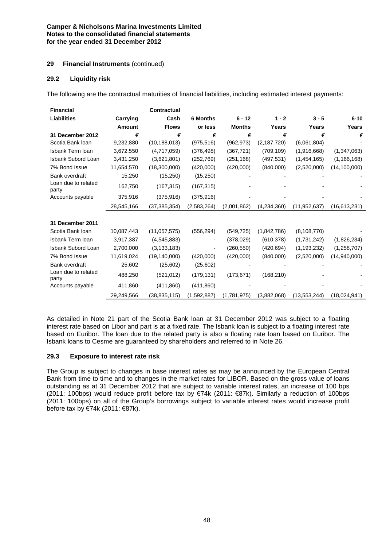# **29 Financial Instruments** (continued)

# **29.2 Liquidity risk**

The following are the contractual maturities of financial liabilities, including estimated interest payments:

| <b>Financial</b>             |            | <b>Contractual</b> |                 |               |               |                |                |
|------------------------------|------------|--------------------|-----------------|---------------|---------------|----------------|----------------|
| <b>Liabilities</b>           | Carrying   | Cash               | <b>6 Months</b> | $6 - 12$      | $1 - 2$       | $3 - 5$        | $6 - 10$       |
|                              | Amount     | <b>Flows</b>       | or less         | <b>Months</b> | Years         | Years          | Years          |
| 31 December 2012             | €          | €                  | €               | €             | €             | €              | €              |
| Scotia Bank Ioan             | 9,232,880  | (10, 188, 013)     | (975, 516)      | (962, 973)    | (2, 187, 720) | (6,061,804)    |                |
| Isbank Term Ioan             | 3,672,550  | (4,717,059)        | (376, 498)      | (367, 721)    | (709, 109)    | (1,916,668)    | (1,347,063)    |
| Isbank Subord Loan           | 3,431,250  | (3,621,801)        | (252, 769)      | (251, 168)    | (497, 531)    | (1,454,165)    | (1, 166, 168)  |
| 7% Bond Issue                | 11,654,570 | (18,300,000)       | (420,000)       | (420,000)     | (840,000)     | (2,520,000)    | (14, 100, 000) |
| Bank overdraft               | 15,250     | (15,250)           | (15,250)        |               |               |                |                |
| Loan due to related<br>party | 162,750    | (167, 315)         | (167, 315)      |               |               |                |                |
| Accounts payable             | 375,916    | (375, 916)         | (375, 916)      |               |               |                |                |
|                              | 28,545,166 | (37, 385, 354)     | (2,583,264)     | (2,001,862)   | (4,234,360)   | (11, 952, 637) | (16,613,231)   |
|                              |            |                    |                 |               |               |                |                |
| 31 December 2011             |            |                    |                 |               |               |                |                |
| Scotia Bank Ioan             | 10,087,443 | (11,057,575)       | (556, 294)      | (549, 725)    | (1,842,786)   | (8, 108, 770)  |                |
| Isbank Term Ioan             | 3,917,387  | (4, 545, 883)      |                 | (378, 029)    | (610, 378)    | (1,731,242)    | (1,826,234)    |
| Isbank Subord Loan           | 2,700,000  | (3, 133, 183)      |                 | (260, 550)    | (420, 694)    | (1, 193, 232)  | (1,258,707)    |
| 7% Bond Issue                | 11,619,024 | (19, 140, 000)     | (420,000)       | (420,000)     | (840,000)     | (2,520,000)    | (14,940,000)   |
| Bank overdraft               | 25,602     | (25,602)           | (25,602)        |               |               |                |                |
| Loan due to related<br>party | 488,250    | (521, 012)         | (179, 131)      | (173, 671)    | (168, 210)    |                |                |
| Accounts payable             | 411,860    | (411, 860)         | (411, 860)      |               |               |                |                |
|                              | 29,249,566 | (38,835,115)       | (1,592,887)     | (1,781,975)   | (3,882,068)   | (13, 553, 244) | (18,024,941)   |

As detailed in Note 21 part of the Scotia Bank loan at 31 December 2012 was subject to a floating interest rate based on Libor and part is at a fixed rate. The Isbank loan is subject to a floating interest rate based on Euribor. The loan due to the related party is also a floating rate loan based on Euribor. The Isbank loans to Cesme are guaranteed by shareholders and referred to in Note 26.

#### **29.3 Exposure to interest rate risk**

The Group is subject to changes in base interest rates as may be announced by the European Central Bank from time to time and to changes in the market rates for LIBOR. Based on the gross value of loans outstanding as at 31 December 2012 that are subject to variable interest rates, an increase of 100 bps (2011: 100bps) would reduce profit before tax by €74k (2011: €87k). Similarly a reduction of 100bps (2011: 100bps) on all of the Group's borrowings subject to variable interest rates would increase profit before tax by €74k (2011: €87k).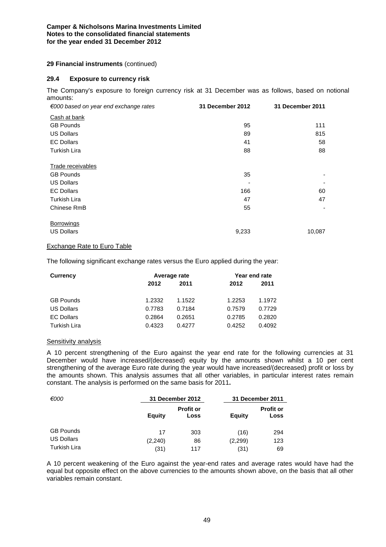# **29 Financial instruments** (continued)

#### **29.4 Exposure to currency risk**

The Company's exposure to foreign currency risk at 31 December was as follows, based on notional amounts:

| $\epsilon$ 000 based on year end exchange rates | 31 December 2012 | 31 December 2011 |
|-------------------------------------------------|------------------|------------------|
| Cash at bank                                    |                  |                  |
| <b>GB Pounds</b>                                | 95               | 111              |
| <b>US Dollars</b>                               | 89               | 815              |
| <b>EC Dollars</b>                               | 41               | 58               |
| <b>Turkish Lira</b>                             | 88               | 88               |
| <b>Trade receivables</b>                        |                  |                  |
| <b>GB Pounds</b>                                | 35               |                  |
| <b>US Dollars</b>                               |                  |                  |
| <b>EC Dollars</b>                               | 166              | 60               |
| <b>Turkish Lira</b>                             | 47               | 47               |
| Chinese RmB                                     | 55               |                  |
| Borrowings                                      |                  |                  |
| <b>US Dollars</b>                               | 9,233            | 10,087           |

### Exchange Rate to Euro Table

The following significant exchange rates versus the Euro applied during the year:

| Currency          |        | Average rate |        |        |
|-------------------|--------|--------------|--------|--------|
|                   | 2012   | 2011         | 2012   | 2011   |
| <b>GB Pounds</b>  | 1.2332 | 1.1522       | 1.2253 | 1.1972 |
| <b>US Dollars</b> | 0.7783 | 0.7184       | 0.7579 | 0.7729 |
| <b>EC Dollars</b> | 0.2864 | 0.2651       | 0.2785 | 0.2820 |
| Turkish Lira      | 0.4323 | 0.4277       | 0.4252 | 0.4092 |

#### Sensitivity analysis

A 10 percent strengthening of the Euro against the year end rate for the following currencies at 31 December would have increased/(decreased) equity by the amounts shown whilst a 10 per cent strengthening of the average Euro rate during the year would have increased/(decreased) profit or loss by the amounts shown. This analysis assumes that all other variables, in particular interest rates remain constant. The analysis is performed on the same basis for 2011**.**

| €000                |         | 31 December 2012         | 31 December 2011 |                          |
|---------------------|---------|--------------------------|------------------|--------------------------|
|                     | Equity  | <b>Profit or</b><br>Loss | <b>Equity</b>    | <b>Profit or</b><br>Loss |
| <b>GB Pounds</b>    | 17      | 303                      | (16)             | 294                      |
| <b>US Dollars</b>   | (2,240) | 86                       | (2,299)          | 123                      |
| <b>Turkish Lira</b> | (31)    | 117                      | (31)             | 69                       |

A 10 percent weakening of the Euro against the year-end rates and average rates would have had the equal but opposite effect on the above currencies to the amounts shown above, on the basis that all other variables remain constant.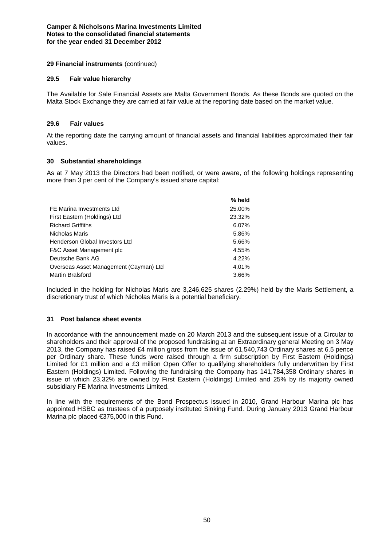# **29 Financial instruments** (continued)

#### **29.5 Fair value hierarchy**

The Available for Sale Financial Assets are Malta Government Bonds. As these Bonds are quoted on the Malta Stock Exchange they are carried at fair value at the reporting date based on the market value.

# **29.6 Fair values**

At the reporting date the carrying amount of financial assets and financial liabilities approximated their fair values.

# **30 Substantial shareholdings**

As at 7 May 2013 the Directors had been notified, or were aware, of the following holdings representing more than 3 per cent of the Company's issued share capital:

|                                        | % held |
|----------------------------------------|--------|
| FE Marina Investments Ltd              | 25.00% |
| First Eastern (Holdings) Ltd           | 23.32% |
| <b>Richard Griffiths</b>               | 6.07%  |
| Nicholas Maris                         | 5.86%  |
| Henderson Global Investors Ltd         | 5.66%  |
| F&C Asset Management plc               | 4.55%  |
| Deutsche Bank AG                       | 4.22%  |
| Overseas Asset Management (Cayman) Ltd | 4.01%  |
| <b>Martin Bralsford</b>                | 3.66%  |

Included in the holding for Nicholas Maris are 3,246,625 shares (2.29%) held by the Maris Settlement, a discretionary trust of which Nicholas Maris is a potential beneficiary.

#### **31 Post balance sheet events**

In accordance with the announcement made on 20 March 2013 and the subsequent issue of a Circular to shareholders and their approval of the proposed fundraising at an Extraordinary general Meeting on 3 May 2013, the Company has raised £4 million gross from the issue of 61,540,743 Ordinary shares at 6.5 pence per Ordinary share. These funds were raised through a firm subscription by First Eastern (Holdings) Limited for £1 million and a £3 million Open Offer to qualifying shareholders fully underwritten by First Eastern (Holdings) Limited. Following the fundraising the Company has 141,784,358 Ordinary shares in issue of which 23.32% are owned by First Eastern (Holdings) Limited and 25% by its majority owned subsidiary FE Marina Investments Limited.

In line with the requirements of the Bond Prospectus issued in 2010, Grand Harbour Marina plc has appointed HSBC as trustees of a purposely instituted Sinking Fund. During January 2013 Grand Harbour Marina plc placed €375,000 in this Fund.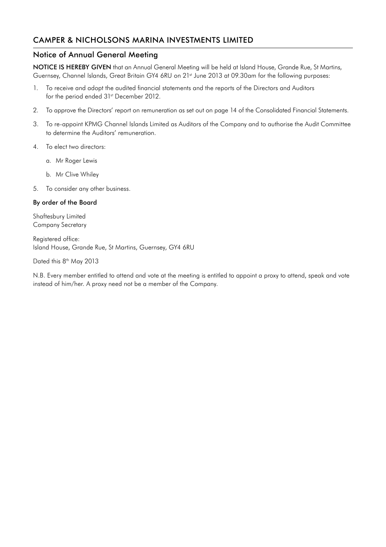# CAMPER & NICHOLSONS MARINA INVESTMENTS LIMITED

# Notice of Annual General Meeting

NOTICE IS HEREBY GIVEN that an Annual General Meeting will be held at Island House, Grande Rue, St Martins, Guernsey, Channel Islands, Great Britain GY4 6RU on 21st June 2013 at 09.30am for the following purposes:

- 1. To receive and adopt the audited financial statements and the reports of the Directors and Auditors for the period ended 31<sup>st</sup> December 2012.
- 2. To approve the Directors' report on remuneration as set out on page 14 of the Consolidated Financial Statements.
- 3. To re-appoint KPMG Channel Islands Limited as Auditors of the Company and to authorise the Audit Committee to determine the Auditors' remuneration.
- 4. To elect two directors:
	- a. Mr Roger Lewis
	- b. Mr Clive Whiley
- 5. To consider any other business.

# By order of the Board

Shaftesbury Limited Company Secretary

Registered office: Island House, Grande Rue, St Martins, Guernsey, GY4 6RU

Dated this 8<sup>th</sup> May 2013

N.B. Every member entitled to attend and vote at the meeting is entitled to appoint a proxy to attend, speak and vote instead of him/her. A proxy need not be a member of the Company.